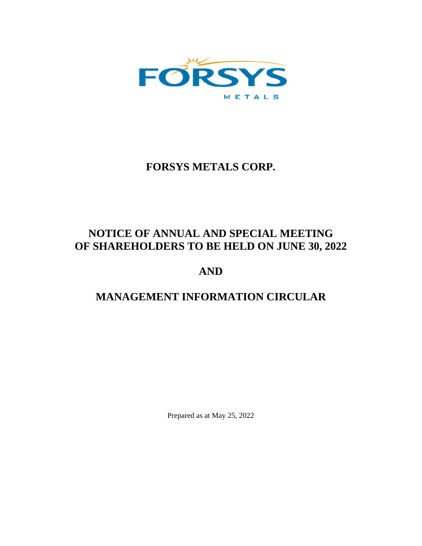

# **FORSYS METALS CORP.**

# **NOTICE OF ANNUAL AND SPECIAL MEETING OF SHAREHOLDERS TO BE HELD ON JUNE 30, 2022**

# **AND**

# **MANAGEMENT INFORMATION CIRCULAR**

Prepared as at May 25, 2022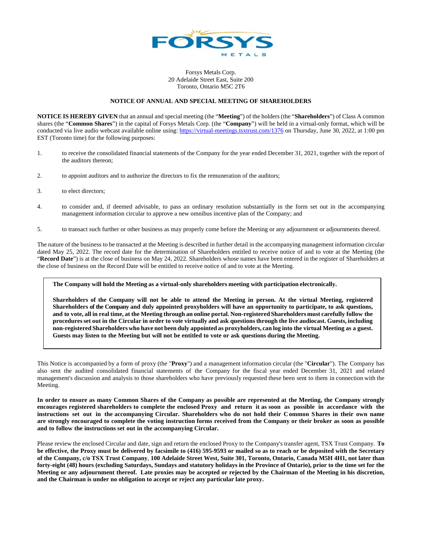

Forsys Metals Corp. 20 Adelaide Street East, Suite 200 Toronto, Ontario M5C 2T6

### **NOTICE OF ANNUAL AND SPECIAL MEETING OF SHAREHOLDERS**

**NOTICE IS HEREBY GIVEN** that an annual and special meeting (the "**Meeting**") of the holders (the "**Shareholders**") of Class A common shares (the "**Common Shares**") in the capital of Forsys Metals Corp. (the "**Company**") will be held in a virtual-only format, which will be conducted via live audio webcast available online using: https://virtual-meetings.tsxtrust.com/1376 on Thursday, June 30, 2022, at 1:00 pm EST (Toronto time) for the following purposes:

- 1. to receive the consolidated financial statements of the Company for the year ended December 31, 2021, together with the report of the auditors thereon;
- 2. to appoint auditors and to authorize the directors to fix the remuneration of the auditors;
- 3. to elect directors;
- 4. to consider and, if deemed advisable, to pass an ordinary resolution substantially in the form set out in the accompanying management information circular to approve a new omnibus incentive plan of the Company; and
- 5. to transact such further or other business as may properly come before the Meeting or any adjournment or adjournments thereof.

The nature of the business to be transacted at the Meeting is described in further detail in the accompanying management information circular dated May 25, 2022. The record date for the determination of Shareholders entitled to receive notice of and to vote at the Meeting (the "**Record Date**") is at the close of business on May 24, 2022. Shareholders whose names have been entered in the register of Shareholders at the close of business on the Record Date will be entitled to receive notice of and to vote at the Meeting.

#### **The Company will hold the Meeting as a virtual-only shareholders meeting with participation electronically.**

**Shareholders of the Company will not be able to attend the Meeting in person. At the virtual Meeting, registered Shareholders of the Company and duly appointed proxyholders will have an opportunity to participate, to ask questions, and to vote, all in real time, at the Meeting through an online portal. Non-registered Shareholders must carefully follow the procedures set out in the Circular in order to vote virtually and ask questions through the live audiocast. Guests, including non-registered Shareholders who have not been duly appointed as proxyholders, can log into the virtual Meeting as a guest. Guests may listen to the Meeting but will not be entitled to vote or ask questions during the Meeting.** 

This Notice is accompanied by a form of proxy (the "**Proxy**") and a management information circular (the "**Circular**"). The Company has also sent the audited consolidated financial statements of the Company for the fiscal year ended December 31, 2021 and related management's discussion and analysis to those shareholders who have previously requested these been sent to them in connection with the Meeting.

**In order to ensure as many Common Shares of the Company as possible are represented at the Meeting, the Company strongly encourages registered shareholders to complete the enclosed Proxy and return it as soon as possible in accordance with the instructions set out in the accompanying Circular. Shareholders who do not hold their Common Shares in their own name are strongly encouraged to complete the voting instruction forms received from the Company or their broker as soon as possible and to follow the instructions set out in the accompanying Circular.** 

Please review the enclosed Circular and date, sign and return the enclosed Proxy to the Company's transfer agent, TSX Trust Company. **To be effective, the Proxy must be delivered by facsimile to (416) 595-9593 or mailed so as to reach or be deposited with the Secretary of the Company, c/o TSX Trust Company**, **100 Adelaide Street West, Suite 301, Toronto, Ontario, Canada M5H 4H1, not later than forty-eight (48) hours (excluding Saturdays, Sundays and statutory holidays in the Province of Ontario), prior to the time set for the Meeting or any adjournment thereof. Late proxies may be accepted or rejected by the Chairman of the Meeting in his discretion, and the Chairman is under no obligation to accept or reject any particular late proxy.**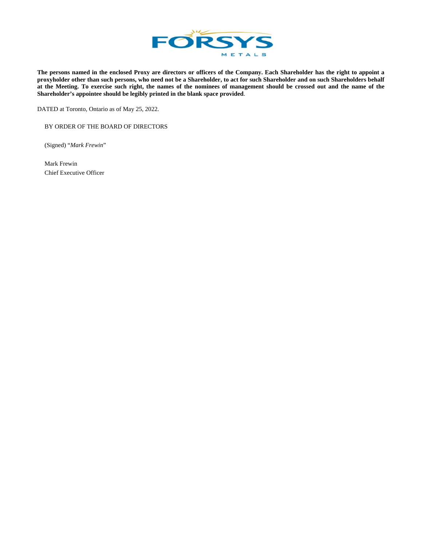

**The persons named in the enclosed Proxy are directors or officers of the Company. Each Shareholder has the right to appoint a proxyholder other than such persons, who need not be a Shareholder, to act for such Shareholder and on such Shareholders behalf at the Meeting. To exercise such right, the names of the nominees of management should be crossed out and the name of the Shareholder's appointee should be legibly printed in the blank space provided**.

DATED at Toronto, Ontario as of May 25, 2022.

BY ORDER OF THE BOARD OF DIRECTORS

(Signed) "*Mark Frewin*"

Mark Frewin Chief Executive Officer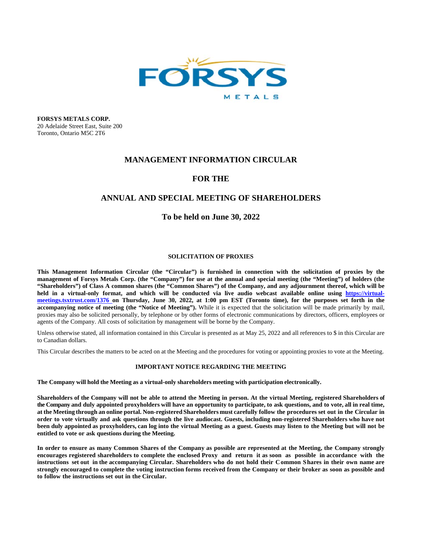

**FORSYS METALS CORP.**  20 Adelaide Street East, Suite 200 Toronto, Ontario M5C 2T6

### **MANAGEMENT INFORMATION CIRCULAR**

# **FOR THE**

# **ANNUAL AND SPECIAL MEETING OF SHAREHOLDERS**

### **To be held on June 30, 2022**

### **SOLICITATION OF PROXIES**

This Management Information Circular (the "Circular") is furnished in connection with the solicitation of proxies by the **management of Forsys Metals Corp. (the "Company") for use at the annual and special meeting (the "Meeting") of holders (the "Shareholders") of Class A common shares (the "Common Shares") of the Company, and any adjournment thereof, which will be**  held in a virtual-only format, and which will be conducted via live audio webcast available online using https://virtual**meetings.tsxtrust.com/1376 on Thursday, June 30, 2022, at 1:00 pm EST (Toronto time), for the purposes set forth in the accompanying notice of meeting (the "Notice of Meeting").** While it is expected that the solicitation will be made primarily by mail, proxies may also be solicited personally, by telephone or by other forms of electronic communications by directors, officers, employees or agents of the Company. All costs of solicitation by management will be borne by the Company.

Unless otherwise stated, all information contained in this Circular is presented as at May 25, 2022 and all references to \$ in this Circular are to Canadian dollars.

This Circular describes the matters to be acted on at the Meeting and the procedures for voting or appointing proxies to vote at the Meeting.

### **IMPORTANT NOTICE REGARDING THE MEETING**

**The Company will hold the Meeting as a virtual-only shareholders meeting with participation electronically.** 

**Shareholders of the Company will not be able to attend the Meeting in person. At the virtual Meeting, registered Shareholders of the Company and duly appointed proxyholders will have an opportunity to participate, to ask questions, and to vote, all in real time, at the Meeting through an online portal. Non-registered Shareholders must carefully follow the procedures set out in the Circular in order to vote virtually and ask questions through the live audiocast. Guests, including non-registered Shareholders who have not been duly appointed as proxyholders, can log into the virtual Meeting as a guest. Guests may listen to the Meeting but will not be entitled to vote or ask questions during the Meeting.** 

**In order to ensure as many Common Shares of the Company as possible are represented at the Meeting, the Company strongly encourages registered shareholders to complete the enclosed Proxy and return it as soon as possible in accordance with the instructions set out in the accompanying Circular. Shareholders who do not hold their Common Shares in their own name are strongly encouraged to complete the voting instruction forms received from the Company or their broker as soon as possible and to follow the instructions set out in the Circular.**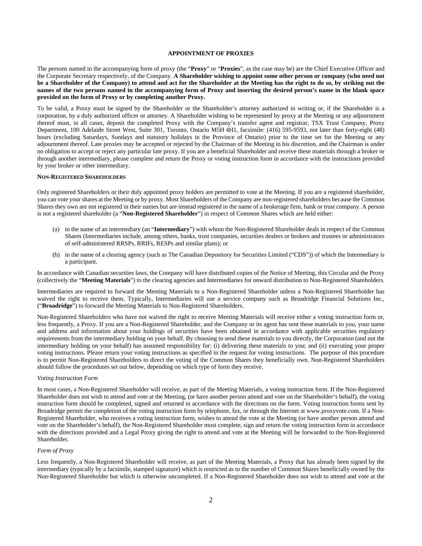### **APPOINTMENT OF PROXIES**

The persons named in the accompanying form of proxy (the "**Proxy**" or "**Proxies**", as the case may be) are the Chief Executive Officer and the Corporate Secretary respectively, of the Company. **A Shareholder wishing to appoint some other person or company (who need not be a Shareholder of the Company) to attend and act for the Shareholder at the Meeting has the right to do so, by striking out the names of the two persons named in the accompanying form of Proxy and inserting the desired person's name in the blank space provided on the form of Proxy or by completing another Proxy.** 

To be valid, a Proxy must be signed by the Shareholder or the Shareholder's attorney authorized in writing or, if the Shareholder is a corporation, by a duly authorized officer or attorney. A Shareholder wishing to be represented by proxy at the Meeting or any adjournment thereof must, in all cases, deposit the completed Proxy with the Company's transfer agent and registrar, TSX Trust Company, Proxy Department, 100 Adelaide Street West, Suite 301, Toronto, Ontario M5H 4H1, facsimile: (416) 595-9593, not later than forty-eight (48) hours (excluding Saturdays, Sundays and statutory holidays in the Province of Ontario) prior to the time set for the Meeting or any adjournment thereof. Late proxies may be accepted or rejected by the Chairman of the Meeting in his discretion, and the Chairman is under no obligation to accept or reject any particular late proxy. If you are a beneficial Shareholder and receive these materials through a broker or through another intermediary, please complete and return the Proxy or voting instruction form in accordance with the instructions provided by your broker or other intermediary.

#### **NON-REGISTERED SHAREHOLDERS**

Only registered Shareholders or their duly appointed proxy holders are permitted to vote at the Meeting. If you are a registered shareholder, you can vote your shares at the Meeting or by proxy. Most Shareholders of the Company are non-registered shareholders because the Common Shares they own are not registered in their names but are instead registered in the name of a brokerage firm, bank or trust company. A person is not a registered shareholder (a "**Non-Registered Shareholder**") in respect of Common Shares which are held either:

- (a) in the name of an intermediary (an "**Intermediary**") with whom the Non-Registered Shareholder deals in respect of the Common Shares (Intermediaries include, among others, banks, trust companies, securities dealers or brokers and trustees or administrators of self-administered RRSPs, RRIFs, RESPs and similar plans); or
- (b) in the name of a clearing agency (such as The Canadian Depository for Securities Limited ("CDS")) of which the Intermediary is a participant.

In accordance with Canadian securities laws, the Company will have distributed copies of the Notice of Meeting, this Circular and the Proxy (collectively the "**Meeting Materials**") to the clearing agencies and Intermediaries for onward distribution to Non-Registered Shareholders.

Intermediaries are required to forward the Meeting Materials to a Non-Registered Shareholder unless a Non-Registered Shareholder has waived the right to receive them. Typically, Intermediaries will use a service company such as Broadridge Financial Solutions Inc., ("**Broadridge**") to forward the Meeting Materials to Non-Registered Shareholders.

Non-Registered Shareholders who have not waived the right to receive Meeting Materials will receive either a voting instruction form or, less frequently, a Proxy. If you are a Non-Registered Shareholder, and the Company or its agent has sent these materials to you, your name and address and information about your holdings of securities have been obtained in accordance with applicable securities regulatory requirements from the intermediary holding on your behalf. By choosing to send these materials to you directly, the Corporation (and not the intermediary holding on your behalf) has assumed responsibility for: (i) delivering these materials to you; and (ii) executing your proper voting instructions. Please return your voting instructions as specified in the request for voting instructions. The purpose of this procedure is to permit Non-Registered Shareholders to direct the voting of the Common Shares they beneficially own. Non-Registered Shareholders should follow the procedures set out below, depending on which type of form they receive.

### *Voting Instruction Form*

In most cases, a Non-Registered Shareholder will receive, as part of the Meeting Materials, a voting instruction form. If the Non-Registered Shareholder does not wish to attend and vote at the Meeting, (or have another person attend and vote on the Shareholder's behalf), the voting instruction form should be completed, signed and returned in accordance with the directions on the form. Voting instruction forms sent by Broadridge permit the completion of the voting instruction form by telephone, fax, or through the Internet at www.proxyvote.com. If a Non-Registered Shareholder, who receives a voting instruction form, wishes to attend the vote at the Meeting (or have another person attend and vote on the Shareholder's behalf), the Non-Registered Shareholder must complete, sign and return the voting instruction form in accordance with the directions provided and a Legal Proxy giving the right to attend and vote at the Meeting will be forwarded to the Non-Registered Shareholder.

#### *Form of Proxy*

Less frequently, a Non-Registered Shareholder will receive, as part of the Meeting Materials, a Proxy that has already been signed by the intermediary (typically by a facsimile, stamped signature) which is restricted as to the number of Common Shares beneficially owned by the Non-Registered Shareholder but which is otherwise uncompleted. If a Non-Registered Shareholder does not wish to attend and vote at the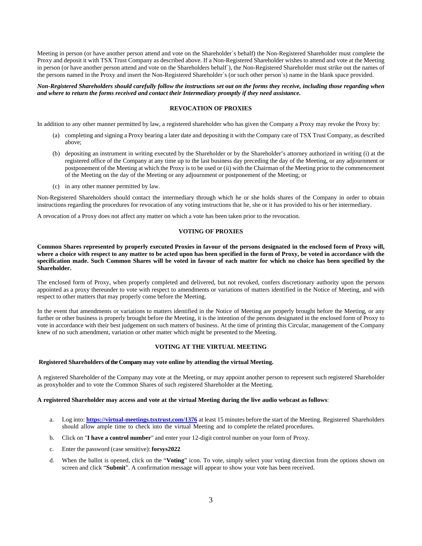Meeting in person (or have another person attend and vote on the Shareholder`s behalf) the Non-Registered Shareholder must complete the Proxy and deposit it with TSX Trust Company as described above. If a Non-Registered Shareholder wishes to attend and vote at the Meeting in person (or have another person attend and vote on the Shareholders behalf`), the Non-Registered Shareholder must strike out the names of the persons named in the Proxy and insert the Non-Registered Shareholder`s (or such other person`s) name in the blank space provided.

#### *Non-Registered Shareholders should carefully follow the instructions set out on the forms they receive, including those regarding when and where to return the forms received and contact their Intermediary promptly if they need assistance.*

#### **REVOCATION OF PROXIES**

In addition to any other manner permitted by law, a registered shareholder who has given the Company a Proxy may revoke the Proxy by:

- (a) completing and signing a Proxy bearing a later date and depositing it with the Company care of TSX Trust Company, as described above;
- (b) depositing an instrument in writing executed by the Shareholder or by the Shareholder's attorney authorized in writing (i) at the registered office of the Company at any time up to the last business day preceding the day of the Meeting, or any adjournment or postponement of the Meeting at which the Proxy is to be used or (ii) with the Chairman of the Meeting prior to the commencement of the Meeting on the day of the Meeting or any adjournment or postponement of the Meeting; or
- (c) in any other manner permitted by law.

Non-Registered Shareholders should contact the intermediary through which he or she holds shares of the Company in order to obtain instructions regarding the procedures for revocation of any voting instructions that he, she or it has provided to his or her intermediary.

A revocation of a Proxy does not affect any matter on which a vote has been taken prior to the revocation.

### **VOTING OF PROXIES**

**Common Shares represented by properly executed Proxies in favour of the persons designated in the enclosed form of Proxy will, where a choice with respect to any matter to be acted upon has been specified in the form of Proxy, be voted in accordance with the specification made. Such Common Shares will be voted in favour of each matter for which no choice has been specified by the Shareholder.** 

The enclosed form of Proxy, when properly completed and delivered, but not revoked, confers discretionary authority upon the persons appointed as a proxy thereunder to vote with respect to amendments or variations of matters identified in the Notice of Meeting, and with respect to other matters that may properly come before the Meeting.

In the event that amendments or variations to matters identified in the Notice of Meeting are properly brought before the Meeting, or any further or other business is properly brought before the Meeting, it is the intention of the persons designated in the enclosed form of Proxy to vote in accordance with their best judgement on such matters of business. At the time of printing this Circular, management of the Company knew of no such amendment, variation or other matter which might be presented to the Meeting.

#### **VOTING AT THE VIRTUAL MEETING**

#### **Registered Shareholders of the Company may vote online by attending the virtual Meeting.**

A registered Shareholder of the Company may vote at the Meeting, or may appoint another person to represent such registered Shareholder as proxyholder and to vote the Common Shares of such registered Shareholder at the Meeting.

#### **A registered Shareholder may access and vote at the virtual Meeting during the live audio webcast as follows**:

- a. Log into: **https://virtual-meetings.tsxtrust.com/1376** at least 15 minutes before the start of the Meeting. Registered Shareholders should allow ample time to check into the virtual Meeting and to complete the related procedures.
- b. Click on "**I have a control number**" and enter your 12-digit control number on your form of Proxy.
- c. Enter the password (case sensitive): **forsys2022**
- d. When the ballot is opened, click on the "**Voting**" icon. To vote, simply select your voting direction from the options shown on screen and click "**Submit**". A confirmation message will appear to show your vote has been received.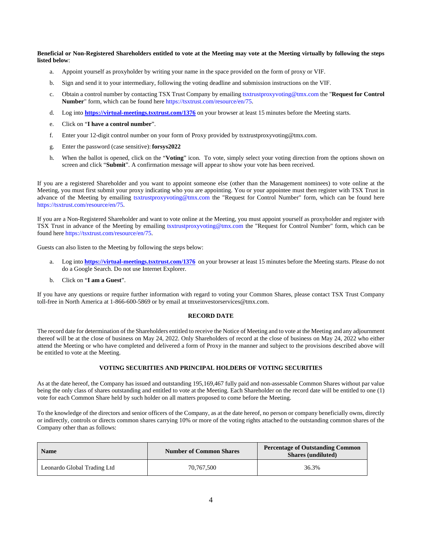**Beneficial or Non-Registered Shareholders entitled to vote at the Meeting may vote at the Meeting virtually by following the steps listed below**:

- a. Appoint yourself as proxyholder by writing your name in the space provided on the form of proxy or VIF.
- b. Sign and send it to your intermediary, following the voting deadline and submission instructions on the VIF.
- c. Obtain a control number by contacting TSX Trust Company by emailing tsxtrustproxyvoting@tmx.com the "**Request for Control Number**" form, which can be found here https://tsxtrust.com/resource/en/75.
- d. Log into **https://virtual-meetings.tsxtrust.com/1376** on your browser at least 15 minutes before the Meeting starts.
- e. Click on "**I have a control number**".
- f. Enter your 12-digit control number on your form of Proxy provided by tsxtrustproxyvoting@tmx.com.
- g. Enter the password (case sensitive): **forsys2022**
- h. When the ballot is opened, click on the "**Voting**" icon. To vote, simply select your voting direction from the options shown on screen and click "**Submit**". A confirmation message will appear to show your vote has been received.

If you are a registered Shareholder and you want to appoint someone else (other than the Management nominees) to vote online at the Meeting, you must first submit your proxy indicating who you are appointing. You or your appointee must then register with TSX Trust in advance of the Meeting by emailing tsxtrustproxyvoting@tmx.com the "Request for Control Number" form, which can be found here https://tsxtrust.com/resource/en/75.

If you are a Non-Registered Shareholder and want to vote online at the Meeting, you must appoint yourself as proxyholder and register with TSX Trust in advance of the Meeting by emailing tsxtrustproxyvoting@tmx.com the "Request for Control Number" form, which can be found here https://tsxtrust.com/resource/en/75.

Guests can also listen to the Meeting by following the steps below:

- a. Log into **https://virtual-meetings.tsxtrust.com/1376** on your browser at least 15 minutes before the Meeting starts. Please do not do a Google Search. Do not use Internet Explorer.
- b. Click on "**I am a Guest**".

If you have any questions or require further information with regard to voting your Common Shares, please contact TSX Trust Company toll-free in North America at 1-866-600-5869 or by email at tmxeinvestorservices@tmx.com.

#### **RECORD DATE**

The record date for determination of the Shareholders entitled to receive the Notice of Meeting and to vote at the Meeting and any adjournment thereof will be at the close of business on May 24, 2022. Only Shareholders of record at the close of business on May 24, 2022 who either attend the Meeting or who have completed and delivered a form of Proxy in the manner and subject to the provisions described above will be entitled to vote at the Meeting.

### **VOTING SECURITIES AND PRINCIPAL HOLDERS OF VOTING SECURITIES**

As at the date hereof, the Company has issued and outstanding 195,169,467 fully paid and non-assessable Common Shares without par value being the only class of shares outstanding and entitled to vote at the Meeting. Each Shareholder on the record date will be entitled to one (1) vote for each Common Share held by such holder on all matters proposed to come before the Meeting.

To the knowledge of the directors and senior officers of the Company, as at the date hereof, no person or company beneficially owns, directly or indirectly, controls or directs common shares carrying 10% or more of the voting rights attached to the outstanding common shares of the Company other than as follows:

| <b>Name</b>                 | <b>Number of Common Shares</b> | <b>Percentage of Outstanding Common</b><br><b>Shares (undiluted)</b> |
|-----------------------------|--------------------------------|----------------------------------------------------------------------|
| Leonardo Global Trading Ltd | 70.767.500                     | 36.3%                                                                |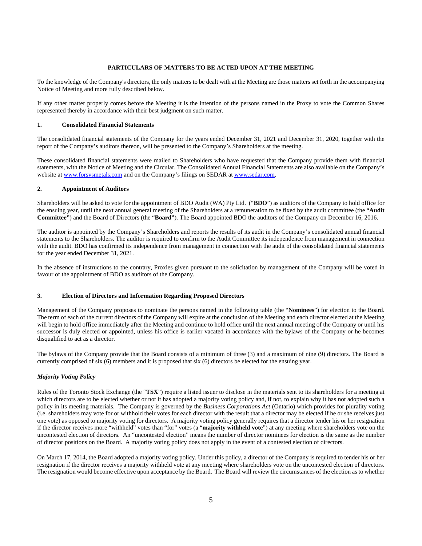### **PARTICULARS OF MATTERS TO BE ACTED UPON AT THE MEETING**

To the knowledge of the Company's directors, the only matters to be dealt with at the Meeting are those matters set forth in the accompanying Notice of Meeting and more fully described below.

If any other matter properly comes before the Meeting it is the intention of the persons named in the Proxy to vote the Common Shares represented thereby in accordance with their best judgment on such matter.

#### **1. Consolidated Financial Statements**

The consolidated financial statements of the Company for the years ended December 31, 2021 and December 31, 2020, together with the report of the Company's auditors thereon, will be presented to the Company's Shareholders at the meeting.

These consolidated financial statements were mailed to Shareholders who have requested that the Company provide them with financial statements, with the Notice of Meeting and the Circular. The Consolidated Annual Financial Statements are also available on the Company's website at www.forsysmetals.com and on the Company's filings on SEDAR at www.sedar.com.

### **2. Appointment of Auditors**

Shareholders will be asked to vote for the appointment of BDO Audit (WA) Pty Ltd. ("**BDO**") as auditors of the Company to hold office for the ensuing year, until the next annual general meeting of the Shareholders at a remuneration to be fixed by the audit committee (the "**Audit Committee"**) and the Board of Directors (the "**Board"**). The Board appointed BDO the auditors of the Company on December 16, 2016.

The auditor is appointed by the Company's Shareholders and reports the results of its audit in the Company's consolidated annual financial statements to the Shareholders. The auditor is required to confirm to the Audit Committee its independence from management in connection with the audit. BDO has confirmed its independence from management in connection with the audit of the consolidated financial statements for the year ended December 31, 2021.

In the absence of instructions to the contrary, Proxies given pursuant to the solicitation by management of the Company will be voted in favour of the appointment of BDO as auditors of the Company.

#### **3. Election of Directors and Information Regarding Proposed Directors**

Management of the Company proposes to nominate the persons named in the following table (the "**Nominees**") for election to the Board. The term of each of the current directors of the Company will expire at the conclusion of the Meeting and each director elected at the Meeting will begin to hold office immediately after the Meeting and continue to hold office until the next annual meeting of the Company or until his successor is duly elected or appointed, unless his office is earlier vacated in accordance with the bylaws of the Company or he becomes disqualified to act as a director.

The bylaws of the Company provide that the Board consists of a minimum of three (3) and a maximum of nine (9) directors. The Board is currently comprised of six (6) members and it is proposed that six (6) directors be elected for the ensuing year.

### *Majority Voting Policy*

Rules of the Toronto Stock Exchange (the "**TSX**") require a listed issuer to disclose in the materials sent to its shareholders for a meeting at which directors are to be elected whether or not it has adopted a majority voting policy and, if not, to explain why it has not adopted such a policy in its meeting materials. The Company is governed by the *Business Corporations Act* (Ontario) which provides for plurality voting (i.e. shareholders may vote for or withhold their votes for each director with the result that a director may be elected if he or she receives just one vote) as opposed to majority voting for directors. A majority voting policy generally requires that a director tender his or her resignation if the director receives more "withheld" votes than "for" votes (a "**majority withheld vote**") at any meeting where shareholders vote on the uncontested election of directors. An "uncontested election" means the number of director nominees for election is the same as the number of director positions on the Board. A majority voting policy does not apply in the event of a contested election of directors.

On March 17, 2014, the Board adopted a majority voting policy. Under this policy, a director of the Company is required to tender his or her resignation if the director receives a majority withheld vote at any meeting where shareholders vote on the uncontested election of directors. The resignation would become effective upon acceptance by the Board. The Board will review the circumstances of the election as to whether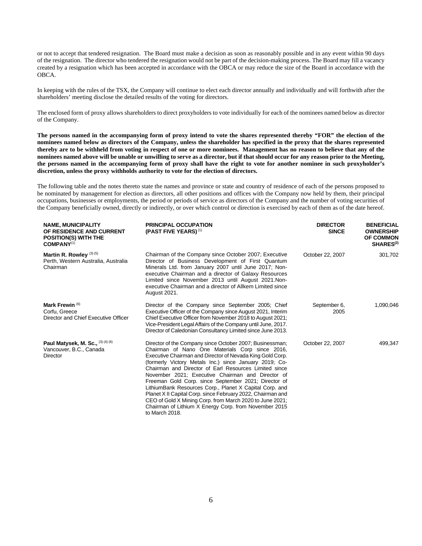or not to accept that tendered resignation. The Board must make a decision as soon as reasonably possible and in any event within 90 days of the resignation. The director who tendered the resignation would not be part of the decision-making process. The Board may fill a vacancy created by a resignation which has been accepted in accordance with the OBCA or may reduce the size of the Board in accordance with the OBCA.

In keeping with the rules of the TSX, the Company will continue to elect each director annually and individually and will forthwith after the shareholders' meeting disclose the detailed results of the voting for directors.

The enclosed form of proxy allows shareholders to direct proxyholders to vote individually for each of the nominees named below as director of the Company.

**The persons named in the accompanying form of proxy intend to vote the shares represented thereby "FOR" the election of the nominees named below as directors of the Company, unless the shareholder has specified in the proxy that the shares represented thereby are to be withheld from voting in respect of one or more nominees. Management has no reason to believe that any of the nominees named above will be unable or unwilling to serve as a director, but if that should occur for any reason prior to the Meeting, the persons named in the accompanying form of proxy shall have the right to vote for another nominee in such proxyholder's discretion, unless the proxy withholds authority to vote for the election of directors.**

The following table and the notes thereto state the names and province or state and country of residence of each of the persons proposed to be nominated by management for election as directors, all other positions and offices with the Company now held by them, their principal occupations, businesses or employments, the period or periods of service as directors of the Company and the number of voting securities of the Company beneficially owned, directly or indirectly, or over which control or direction is exercised by each of them as of the date hereof.

| <b>NAME, MUNICIPALITY</b><br>OF RESIDENCE AND CURRENT<br><b>POSITION(S) WITH THE</b><br>COMPANY <sup>(1)</sup> | <b>PRINCIPAL OCCUPATION</b><br>(PAST FIVE YEARS) $(1)$                                                                                                                                                                                                                                                                                                                                                                                                                                                                                                                                                                                                                    | <b>DIRECTOR</b><br><b>SINCE</b> | <b>BENEFICIAL</b><br><b>OWNERSHIP</b><br><b>OF COMMON</b><br>SHARES <sup>(2)</sup> |
|----------------------------------------------------------------------------------------------------------------|---------------------------------------------------------------------------------------------------------------------------------------------------------------------------------------------------------------------------------------------------------------------------------------------------------------------------------------------------------------------------------------------------------------------------------------------------------------------------------------------------------------------------------------------------------------------------------------------------------------------------------------------------------------------------|---------------------------------|------------------------------------------------------------------------------------|
| Martin R. Rowley $(3)(5)$<br>Perth, Western Australia, Australia<br>Chairman                                   | Chairman of the Company since October 2007; Executive<br>Director of Business Development of First Quantum<br>Minerals Ltd. from January 2007 until June 2017; Non-<br>executive Chairman and a director of Galaxy Resources<br>Limited since November 2013 until August 2021.Non-<br>executive Chairman and a director of Allkem Limited since<br>August 2021.                                                                                                                                                                                                                                                                                                           | October 22, 2007                | 301,702                                                                            |
| Mark Frewin <sup>(6)</sup><br>Corfu. Greece<br>Director and Chief Executive Officer                            | Director of the Company since September 2005; Chief<br>Executive Officer of the Company since August 2021, Interim<br>Chief Executive Officer from November 2018 to August 2021;<br>Vice-President Legal Affairs of the Company until June, 2017.<br>Director of Caledonian Consultancy Limited since June 2013.                                                                                                                                                                                                                                                                                                                                                          | September 6,<br>2005            | 1,090,046                                                                          |
| Paul Matysek, M. Sc., $(3)(4)(6)$<br>Vancouver, B.C., Canada<br>Director                                       | Director of the Company since October 2007; Businessman;<br>Chairman of Nano One Materials Corp since 2016,<br>Executive Chairman and Director of Nevada King Gold Corp.<br>(formerly Victory Metals Inc.) since January 2019; Co-<br>Chairman and Director of Earl Resources Limited since<br>November 2021; Executive Chairman and Director of<br>Freeman Gold Corp. since September 2021; Director of<br>LithiumBank Resources Corp., Planet X Capital Corp. and<br>Planet X II Capital Corp. since February 2022, Chairman and<br>CEO of Gold X Mining Corp. from March 2020 to June 2021;<br>Chairman of Lithium X Energy Corp. from November 2015<br>to March 2018. | October 22, 2007                | 499,347                                                                            |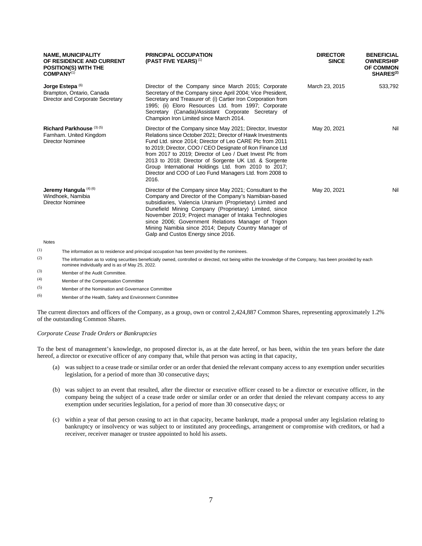| <b>NAME, MUNICIPALITY</b><br>OF RESIDENCE AND CURRENT<br><b>POSITION(S) WITH THE</b><br>COMPANY <sup>(1)</sup> | <b>PRINCIPAL OCCUPATION</b><br>(PAST FIVE YEARS) <sup>(1)</sup>                                                                                                                                                                                                                                                                                                                                                                                                                                      | <b>DIRECTOR</b><br><b>SINCE</b> | <b>BENEFICIAL</b><br><b>OWNERSHIP</b><br><b>OF COMMON</b><br>SHARES <sup>(2)</sup> |
|----------------------------------------------------------------------------------------------------------------|------------------------------------------------------------------------------------------------------------------------------------------------------------------------------------------------------------------------------------------------------------------------------------------------------------------------------------------------------------------------------------------------------------------------------------------------------------------------------------------------------|---------------------------------|------------------------------------------------------------------------------------|
| Jorge Estepa $^{(6)}$<br>Brampton, Ontario, Canada<br>Director and Corporate Secretary                         | Director of the Company since March 2015; Corporate<br>Secretary of the Company since April 2004; Vice President,<br>Secretary and Treasurer of: (i) Cartier Iron Corporation from<br>1995; (ii) Eloro Resources Ltd. from 1997; Corporate<br>Secretary (Canada)/Assistant Corporate Secretary of<br>Champion Iron Limited since March 2014.                                                                                                                                                         | March 23, 2015                  | 533,792                                                                            |
| Richard Parkhouse (3) (5)<br>Farnham. United Kingdom<br><b>Director Nominee</b>                                | Director of the Company since May 2021; Director, Investor<br>Relations since October 2021; Director of Hawk Investments<br>Fund Ltd. since 2014; Director of Leo CARE Plc from 2011<br>to 2019; Director, COO / CEO Designate of Ikon Finance Ltd<br>from 2017 to 2019; Director of Leo / Duet Invest Plc from<br>2013 to 2018; Director of Sorgente UK Ltd. & Sorgente<br>Group International Holdings Ltd. from 2010 to 2017;<br>Director and COO of Leo Fund Managers Ltd. from 2008 to<br>2016. | May 20, 2021                    | Nil                                                                                |
| Jeremy Hangula (4) (6)<br>Windhoek. Namibia<br><b>Director Nominee</b>                                         | Director of the Company since May 2021; Consultant to the<br>Company and Director of the Company's Namibian-based<br>subsidiaries, Valencia Uranium (Proprietary) Limited and<br>Dunefield Mining Company (Proprietary) Limited, since<br>November 2019; Project manager of Intaka Technologies<br>since 2006; Government Relations Manager of Trigon<br>Mining Namibia since 2014; Deputy Country Manager of<br>Galp and Custos Energy since 2016.                                                  | May 20, 2021                    | Nil                                                                                |
| Notes                                                                                                          |                                                                                                                                                                                                                                                                                                                                                                                                                                                                                                      |                                 |                                                                                    |

 $(1)$  The information as to residence and principal occupation has been provided by the nominees.

 $(2)$  The information as to voting securities beneficially owned, controlled or directed, not being within the knowledge of the Company, has been provided by each nominee individually and is as of May 25, 2022.

(3) Member of the Audit Committee.

- (4) Member of the Compensation Committee
- (5) Member of the Nomination and Governance Committee

(6) Member of the Health, Safety and Environment Committee

The current directors and officers of the Company, as a group, own or control 2,424,887 Common Shares, representing approximately 1.2% of the outstanding Common Shares.

### *Corporate Cease Trade Orders or Bankruptcies*

To the best of management's knowledge, no proposed director is, as at the date hereof, or has been, within the ten years before the date hereof, a director or executive officer of any company that, while that person was acting in that capacity,

- (a) was subject to a cease trade or similar order or an order that denied the relevant company access to any exemption under securities legislation, for a period of more than 30 consecutive days;
- (b) was subject to an event that resulted, after the director or executive officer ceased to be a director or executive officer, in the company being the subject of a cease trade order or similar order or an order that denied the relevant company access to any exemption under securities legislation, for a period of more than 30 consecutive days; or
- (c) within a year of that person ceasing to act in that capacity, became bankrupt, made a proposal under any legislation relating to bankruptcy or insolvency or was subject to or instituted any proceedings, arrangement or compromise with creditors, or had a receiver, receiver manager or trustee appointed to hold his assets.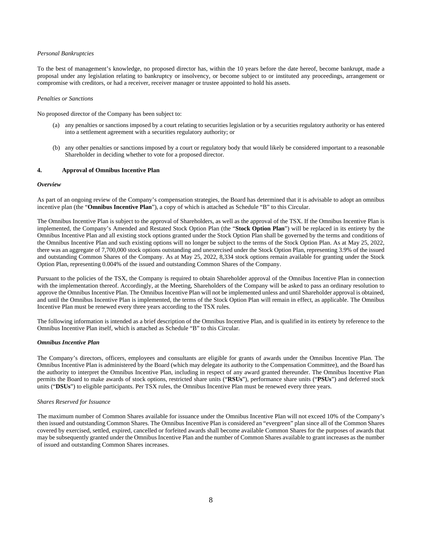#### *Personal Bankruptcies*

To the best of management's knowledge, no proposed director has, within the 10 years before the date hereof, become bankrupt, made a proposal under any legislation relating to bankruptcy or insolvency, or become subject to or instituted any proceedings, arrangement or compromise with creditors, or had a receiver, receiver manager or trustee appointed to hold his assets.

#### *Penalties or Sanctions*

No proposed director of the Company has been subject to:

- (a) any penalties or sanctions imposed by a court relating to securities legislation or by a securities regulatory authority or has entered into a settlement agreement with a securities regulatory authority; or
- (b) any other penalties or sanctions imposed by a court or regulatory body that would likely be considered important to a reasonable Shareholder in deciding whether to vote for a proposed director.

### **4. Approval of Omnibus Incentive Plan**

#### *Overview*

As part of an ongoing review of the Company's compensation strategies, the Board has determined that it is advisable to adopt an omnibus incentive plan (the "**Omnibus Incentive Plan**"), a copy of which is attached as Schedule "B" to this Circular.

The Omnibus Incentive Plan is subject to the approval of Shareholders, as well as the approval of the TSX. If the Omnibus Incentive Plan is implemented, the Company's Amended and Restated Stock Option Plan (the "**Stock Option Plan**") will be replaced in its entirety by the Omnibus Incentive Plan and all existing stock options granted under the Stock Option Plan shall be governed by the terms and conditions of the Omnibus Incentive Plan and such existing options will no longer be subject to the terms of the Stock Option Plan. As at May 25, 2022, there was an aggregate of 7,700,000 stock options outstanding and unexercised under the Stock Option Plan, representing 3.9% of the issued and outstanding Common Shares of the Company. As at May 25, 2022, 8,334 stock options remain available for granting under the Stock Option Plan, representing 0.004% of the issued and outstanding Common Shares of the Company.

Pursuant to the policies of the TSX, the Company is required to obtain Shareholder approval of the Omnibus Incentive Plan in connection with the implementation thereof. Accordingly, at the Meeting, Shareholders of the Company will be asked to pass an ordinary resolution to approve the Omnibus Incentive Plan. The Omnibus Incentive Plan will not be implemented unless and until Shareholder approval is obtained, and until the Omnibus Incentive Plan is implemented, the terms of the Stock Option Plan will remain in effect, as applicable. The Omnibus Incentive Plan must be renewed every three years according to the TSX rules.

The following information is intended as a brief description of the Omnibus Incentive Plan, and is qualified in its entirety by reference to the Omnibus Incentive Plan itself, which is attached as Schedule "B" to this Circular.

### *Omnibus Incentive Plan*

The Company's directors, officers, employees and consultants are eligible for grants of awards under the Omnibus Incentive Plan. The Omnibus Incentive Plan is administered by the Board (which may delegate its authority to the Compensation Committee), and the Board has the authority to interpret the Omnibus Incentive Plan, including in respect of any award granted thereunder. The Omnibus Incentive Plan permits the Board to make awards of stock options, restricted share units ("**RSUs**"), performance share units ("**PSUs**") and deferred stock units ("**DSUs**") to eligible participants. Per TSX rules, the Omnibus Incentive Plan must be renewed every three years.

#### *Shares Reserved for Issuance*

The maximum number of Common Shares available for issuance under the Omnibus Incentive Plan will not exceed 10% of the Company's then issued and outstanding Common Shares. The Omnibus Incentive Plan is considered an "evergreen" plan since all of the Common Shares covered by exercised, settled, expired, cancelled or forfeited awards shall become available Common Shares for the purposes of awards that may be subsequently granted under the Omnibus Incentive Plan and the number of Common Shares available to grant increases as the number of issued and outstanding Common Shares increases.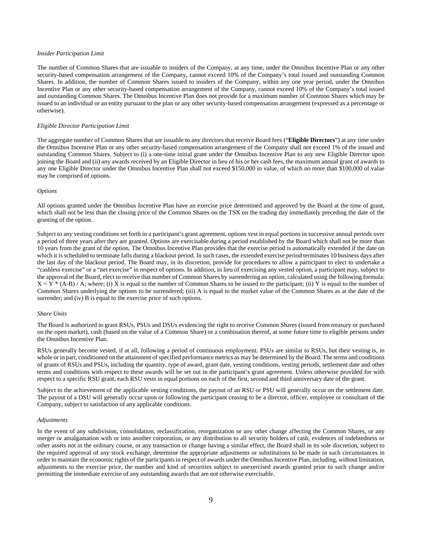#### *Insider Participation Limit*

The number of Common Shares that are issuable to insiders of the Company, at any time, under the Omnibus Incentive Plan or any other security-based compensation arrangement of the Company, cannot exceed 10% of the Company's total issued and outstanding Common Shares. In addition, the number of Common Shares issued to insiders of the Company, within any one year period, under the Omnibus Incentive Plan or any other security-based compensation arrangement of the Company, cannot exceed 10% of the Company's total issued and outstanding Common Shares. The Omnibus Incentive Plan does not provide for a maximum number of Common Shares which may be issued to an individual or an entity pursuant to the plan or any other security-based compensation arrangement (expressed as a percentage or otherwise).

#### *Eligible Director Participation Limit*

The aggregate number of Common Shares that are issuable to any directors that receive Board fees ("**Eligible Directors**") at any time under the Omnibus Incentive Plan or any other security-based compensation arrangement of the Company shall not exceed 1% of the issued and outstanding Common Shares. Subject to (i) a one-time initial grant under the Omnibus Incentive Plan to any new Eligible Director upon joining the Board and (ii) any awards received by an Eligible Director in lieu of his or her cash fees, the maximum annual grant of awards to any one Eligible Director under the Omnibus Incentive Plan shall not exceed \$150,000 in value, of which no more than \$100,000 of value may be comprised of options.

#### *Options*

All options granted under the Omnibus Incentive Plan have an exercise price determined and approved by the Board at the time of grant, which shall not be less than the closing price of the Common Shares on the TSX on the trading day immediately preceding the date of the granting of the option.

Subject to any vesting conditions set forth in a participant's grant agreement, options vest in equal portions in successive annual periods over a period of three years after they are granted. Options are exercisable during a period established by the Board which shall not be more than 10 years from the grant of the option. The Omnibus Incentive Plan provides that the exercise period is automatically extended if the date on which it is scheduled to terminate falls during a blackout period. In such cases, the extended exercise period terminates 10 business days after the last day of the blackout period. The Board may, in its discretion, provide for procedures to allow a participant to elect to undertake a "cashless exercise" or a "net exercise" in respect of options. In addition, in lieu of exercising any vested option, a participant may, subject to the approval of the Board, elect to receive that number of Common Shares by surrendering an option, calculated using the following formula:  $X = Y^*$  (A-B) / A; where; (i) X is equal to the number of Common Shares to be issued to the participant; (ii) Y is equal to the number of Common Shares underlying the options to be surrendered; (iii) A is equal to the market value of the Common Shares as at the date of the surrender; and (iv) B is equal to the exercise price of such options.

### *Share Units*

The Board is authorized to grant RSUs, PSUs and DSUs evidencing the right to receive Common Shares (issued from treasury or purchased on the open market), cash (based on the value of a Common Share) or a combination thereof, at some future time to eligible persons under the Omnibus Incentive Plan.

RSUs generally become vested, if at all, following a period of continuous employment. PSUs are similar to RSUs, but their vesting is, in whole or in part, conditioned on the attainment of specified performance metrics as may be determined by the Board. The terms and conditions of grants of RSUs and PSUs, including the quantity, type of award, grant date, vesting conditions, vesting periods, settlement date and other terms and conditions with respect to these awards will be set out in the participant's grant agreement. Unless otherwise provided for with respect to a specific RSU grant, each RSU vests in equal portions on each of the first, second and third anniversary date of the grant.

Subject to the achievement of the applicable vesting conditions, the payout of an RSU or PSU will generally occur on the settlement date. The payout of a DSU will generally occur upon or following the participant ceasing to be a director, officer, employee or consultant of the Company, subject to satisfaction of any applicable conditions.

#### *Adjustments*

In the event of any subdivision, consolidation, reclassification, reorganization or any other change affecting the Common Shares, or any merger or amalgamation with or into another corporation, or any distribution to all security holders of cash, evidences of indebtedness or other assets not in the ordinary course, or any transaction or change having a similar effect, the Board shall in its sole discretion, subject to the required approval of any stock exchange, determine the appropriate adjustments or substitutions to be made in such circumstances in order to maintain the economic rights of the participants in respect of awards under the Omnibus Incentive Plan, including, without limitation, adjustments to the exercise price, the number and kind of securities subject to unexercised awards granted prior to such change and/or permitting the immediate exercise of any outstanding awards that are not otherwise exercisable.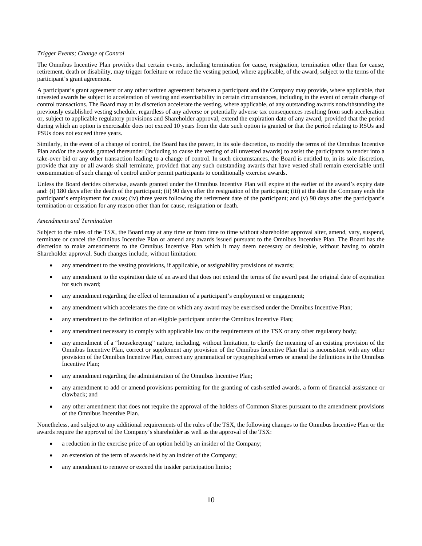#### *Trigger Events; Change of Control*

The Omnibus Incentive Plan provides that certain events, including termination for cause, resignation, termination other than for cause, retirement, death or disability, may trigger forfeiture or reduce the vesting period, where applicable, of the award, subject to the terms of the participant's grant agreement.

A participant's grant agreement or any other written agreement between a participant and the Company may provide, where applicable, that unvested awards be subject to acceleration of vesting and exercisability in certain circumstances, including in the event of certain change of control transactions. The Board may at its discretion accelerate the vesting, where applicable, of any outstanding awards notwithstanding the previously established vesting schedule, regardless of any adverse or potentially adverse tax consequences resulting from such acceleration or, subject to applicable regulatory provisions and Shareholder approval, extend the expiration date of any award, provided that the period during which an option is exercisable does not exceed 10 years from the date such option is granted or that the period relating to RSUs and PSUs does not exceed three years.

Similarly, in the event of a change of control, the Board has the power, in its sole discretion, to modify the terms of the Omnibus Incentive Plan and/or the awards granted thereunder (including to cause the vesting of all unvested awards) to assist the participants to tender into a take-over bid or any other transaction leading to a change of control. In such circumstances, the Board is entitled to, in its sole discretion, provide that any or all awards shall terminate, provided that any such outstanding awards that have vested shall remain exercisable until consummation of such change of control and/or permit participants to conditionally exercise awards.

Unless the Board decides otherwise, awards granted under the Omnibus Incentive Plan will expire at the earlier of the award's expiry date and: (i) 180 days after the death of the participant; (ii) 90 days after the resignation of the participant; (iii) at the date the Company ends the participant's employment for cause; (iv) three years following the retirement date of the participant; and (v) 90 days after the participant's termination or cessation for any reason other than for cause, resignation or death.

#### *Amendments and Termination*

Subject to the rules of the TSX, the Board may at any time or from time to time without shareholder approval alter, amend, vary, suspend, terminate or cancel the Omnibus Incentive Plan or amend any awards issued pursuant to the Omnibus Incentive Plan. The Board has the discretion to make amendments to the Omnibus Incentive Plan which it may deem necessary or desirable, without having to obtain Shareholder approval. Such changes include, without limitation:

- any amendment to the vesting provisions, if applicable, or assignability provisions of awards;
- any amendment to the expiration date of an award that does not extend the terms of the award past the original date of expiration for such award;
- any amendment regarding the effect of termination of a participant's employment or engagement;
- any amendment which accelerates the date on which any award may be exercised under the Omnibus Incentive Plan;
- any amendment to the definition of an eligible participant under the Omnibus Incentive Plan;
- any amendment necessary to comply with applicable law or the requirements of the TSX or any other regulatory body;
- any amendment of a "housekeeping" nature, including, without limitation, to clarify the meaning of an existing provision of the Omnibus Incentive Plan, correct or supplement any provision of the Omnibus Incentive Plan that is inconsistent with any other provision of the Omnibus Incentive Plan, correct any grammatical or typographical errors or amend the definitions in the Omnibus Incentive Plan;
- any amendment regarding the administration of the Omnibus Incentive Plan;
- any amendment to add or amend provisions permitting for the granting of cash-settled awards, a form of financial assistance or clawback; and
- any other amendment that does not require the approval of the holders of Common Shares pursuant to the amendment provisions of the Omnibus Incentive Plan.

Nonetheless, and subject to any additional requirements of the rules of the TSX, the following changes to the Omnibus Incentive Plan or the awards require the approval of the Company's shareholder as well as the approval of the TSX:

- a reduction in the exercise price of an option held by an insider of the Company;
- an extension of the term of awards held by an insider of the Company;
- any amendment to remove or exceed the insider participation limits;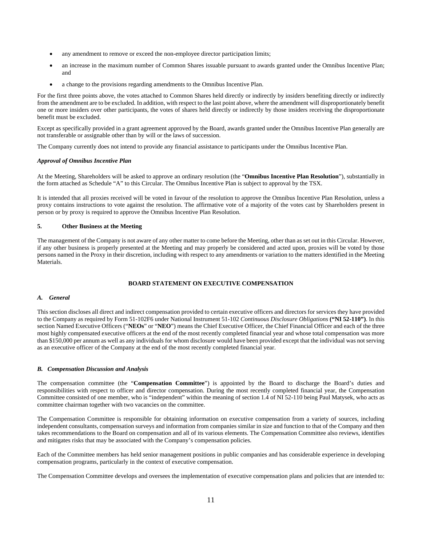- any amendment to remove or exceed the non-employee director participation limits;
- an increase in the maximum number of Common Shares issuable pursuant to awards granted under the Omnibus Incentive Plan; and
- a change to the provisions regarding amendments to the Omnibus Incentive Plan.

For the first three points above, the votes attached to Common Shares held directly or indirectly by insiders benefiting directly or indirectly from the amendment are to be excluded. In addition, with respect to the last point above, where the amendment will disproportionately benefit one or more insiders over other participants, the votes of shares held directly or indirectly by those insiders receiving the disproportionate benefit must be excluded.

Except as specifically provided in a grant agreement approved by the Board, awards granted under the Omnibus Incentive Plan generally are not transferable or assignable other than by will or the laws of succession.

The Company currently does not intend to provide any financial assistance to participants under the Omnibus Incentive Plan.

#### *Approval of Omnibus Incentive Plan*

At the Meeting, Shareholders will be asked to approve an ordinary resolution (the "**Omnibus Incentive Plan Resolution**"), substantially in the form attached as Schedule "A" to this Circular. The Omnibus Incentive Plan is subject to approval by the TSX.

It is intended that all proxies received will be voted in favour of the resolution to approve the Omnibus Incentive Plan Resolution, unless a proxy contains instructions to vote against the resolution. The affirmative vote of a majority of the votes cast by Shareholders present in person or by proxy is required to approve the Omnibus Incentive Plan Resolution.

### **5. Other Business at the Meeting**

The management of the Company is not aware of any other matter to come before the Meeting, other than as set out in this Circular. However, if any other business is properly presented at the Meeting and may properly be considered and acted upon, proxies will be voted by those persons named in the Proxy in their discretion, including with respect to any amendments or variation to the matters identified in the Meeting Materials.

### **BOARD STATEMENT ON EXECUTIVE COMPENSATION**

### *A. General*

This section discloses all direct and indirect compensation provided to certain executive officers and directors for services they have provided to the Company as required by Form 51-102F6 under National Instrument 51-102 *Continuous Disclosure Obligations* **("NI 52-110")**. In this section Named Executive Officers ("**NEOs**" or "**NEO**") means the Chief Executive Officer, the Chief Financial Officer and each of the three most highly compensated executive officers at the end of the most recently completed financial year and whose total compensation was more than \$150,000 per annum as well as any individuals for whom disclosure would have been provided except that the individual was not serving as an executive officer of the Company at the end of the most recently completed financial year.

#### *B. Compensation Discussion and Analysis*

The compensation committee (the "**Compensation Committee**") is appointed by the Board to discharge the Board's duties and responsibilities with respect to officer and director compensation. During the most recently completed financial year, the Compensation Committee consisted of one member, who is "independent" within the meaning of section 1.4 of NI 52-110 being Paul Matysek, who acts as committee chairman together with two vacancies on the committee.

The Compensation Committee is responsible for obtaining information on executive compensation from a variety of sources, including independent consultants, compensation surveys and information from companies similar in size and function to that of the Company and then takes recommendations to the Board on compensation and all of its various elements. The Compensation Committee also reviews, identifies and mitigates risks that may be associated with the Company's compensation policies.

Each of the Committee members has held senior management positions in public companies and has considerable experience in developing compensation programs, particularly in the context of executive compensation.

The Compensation Committee develops and oversees the implementation of executive compensation plans and policies that are intended to: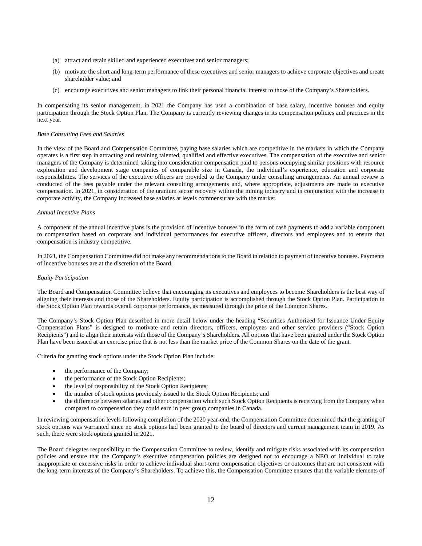- (a) attract and retain skilled and experienced executives and senior managers;
- (b) motivate the short and long-term performance of these executives and senior managers to achieve corporate objectives and create shareholder value; and
- (c) encourage executives and senior managers to link their personal financial interest to those of the Company's Shareholders.

In compensating its senior management, in 2021 the Company has used a combination of base salary, incentive bonuses and equity participation through the Stock Option Plan. The Company is currently reviewing changes in its compensation policies and practices in the next year.

#### *Base Consulting Fees and Salaries*

In the view of the Board and Compensation Committee, paying base salaries which are competitive in the markets in which the Company operates is a first step in attracting and retaining talented, qualified and effective executives. The compensation of the executive and senior managers of the Company is determined taking into consideration compensation paid to persons occupying similar positions with resource exploration and development stage companies of comparable size in Canada, the individual's experience, education and corporate responsibilities. The services of the executive officers are provided to the Company under consulting arrangements. An annual review is conducted of the fees payable under the relevant consulting arrangements and, where appropriate, adjustments are made to executive compensation. In 2021, in consideration of the uranium sector recovery within the mining industry and in conjunction with the increase in corporate activity, the Company increased base salaries at levels commensurate with the market.

#### *Annual Incentive Plans*

A component of the annual incentive plans is the provision of incentive bonuses in the form of cash payments to add a variable component to compensation based on corporate and individual performances for executive officers, directors and employees and to ensure that compensation is industry competitive.

In 2021, the Compensation Committee did not make any recommendations to the Board in relation to payment of incentive bonuses. Payments of incentive bonuses are at the discretion of the Board.

#### *Equity Participation*

The Board and Compensation Committee believe that encouraging its executives and employees to become Shareholders is the best way of aligning their interests and those of the Shareholders. Equity participation is accomplished through the Stock Option Plan. Participation in the Stock Option Plan rewards overall corporate performance, as measured through the price of the Common Shares.

The Company's Stock Option Plan described in more detail below under the heading "Securities Authorized for Issuance Under Equity Compensation Plans" is designed to motivate and retain directors, officers, employees and other service providers ("Stock Option Recipients") and to align their interests with those of the Company's Shareholders. All options that have been granted under the Stock Option Plan have been issued at an exercise price that is not less than the market price of the Common Shares on the date of the grant.

Criteria for granting stock options under the Stock Option Plan include:

- the performance of the Company;
- the performance of the Stock Option Recipients;
- the level of responsibility of the Stock Option Recipients;
- the number of stock options previously issued to the Stock Option Recipients; and
- the difference between salaries and other compensation which such Stock Option Recipients is receiving from the Company when compared to compensation they could earn in peer group companies in Canada.

In reviewing compensation levels following completion of the 2020 year-end, the Compensation Committee determined that the granting of stock options was warranted since no stock options had been granted to the board of directors and current management team in 2019. As such, there were stock options granted in 2021.

The Board delegates responsibility to the Compensation Committee to review, identify and mitigate risks associated with its compensation policies and ensure that the Company's executive compensation policies are designed not to encourage a NEO or individual to take inappropriate or excessive risks in order to achieve individual short-term compensation objectives or outcomes that are not consistent with the long-term interests of the Company's Shareholders. To achieve this, the Compensation Committee ensures that the variable elements of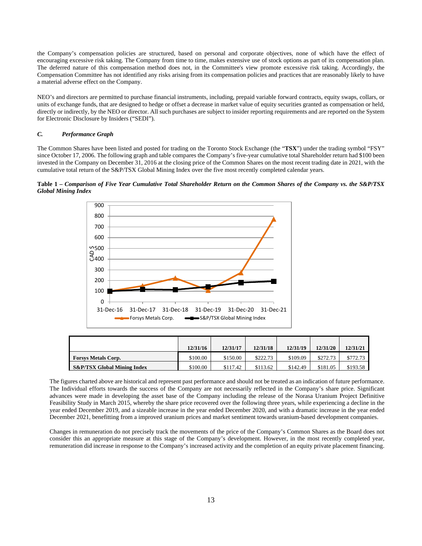the Company's compensation policies are structured, based on personal and corporate objectives, none of which have the effect of encouraging excessive risk taking. The Company from time to time, makes extensive use of stock options as part of its compensation plan. The deferred nature of this compensation method does not, in the Committee's view promote excessive risk taking. Accordingly, the Compensation Committee has not identified any risks arising from its compensation policies and practices that are reasonably likely to have a material adverse effect on the Company.

NEO's and directors are permitted to purchase financial instruments, including, prepaid variable forward contracts, equity swaps, collars, or units of exchange funds, that are designed to hedge or offset a decrease in market value of equity securities granted as compensation or held, directly or indirectly, by the NEO or director. All such purchases are subject to insider reporting requirements and are reported on the System for Electronic Disclosure by Insiders ("SEDI").

#### *C. Performance Graph*

The Common Shares have been listed and posted for trading on the Toronto Stock Exchange (the "**TSX**") under the trading symbol "FSY" since October 17, 2006. The following graph and table compares the Company's five-year cumulative total Shareholder return had \$100 been invested in the Company on December 31, 2016 at the closing price of the Common Shares on the most recent trading date in 2021, with the cumulative total return of the S&P/TSX Global Mining Index over the five most recently completed calendar years.

**Table 1 –** *Comparison of Five Year Cumulative Total Shareholder Return on the Common Shares of the Company vs. the S&P/TSX Global Mining Index* 



|                                        | 12/31/16 | 12/31/17 | 12/31/18 | 12/31/19 | 12/31/20 | 12/31/21 |
|----------------------------------------|----------|----------|----------|----------|----------|----------|
| <b>Forsys Metals Corp.</b>             | \$100.00 | \$150.00 | \$222.73 | \$109.09 | \$272.73 | \$772.73 |
| <b>S&amp;P/TSX Global Mining Index</b> | \$100.00 | \$117.42 | \$113.62 | \$142.49 | \$181.05 | \$193.58 |

The figures charted above are historical and represent past performance and should not be treated as an indication of future performance. The Individual efforts towards the success of the Company are not necessarily reflected in the Company's share price. Significant advances were made in developing the asset base of the Company including the release of the Norasa Uranium Project Definitive Feasibility Study in March 2015, whereby the share price recovered over the following three years, while experiencing a decline in the year ended December 2019, and a sizeable increase in the year ended December 2020, and with a dramatic increase in the year ended December 2021, benefitting from a improved uranium prices and market sentiment towards uranium-based development companies.

Changes in remuneration do not precisely track the movements of the price of the Company's Common Shares as the Board does not consider this an appropriate measure at this stage of the Company's development. However, in the most recently completed year, remuneration did increase in response to the Company's increased activity and the completion of an equity private placement financing.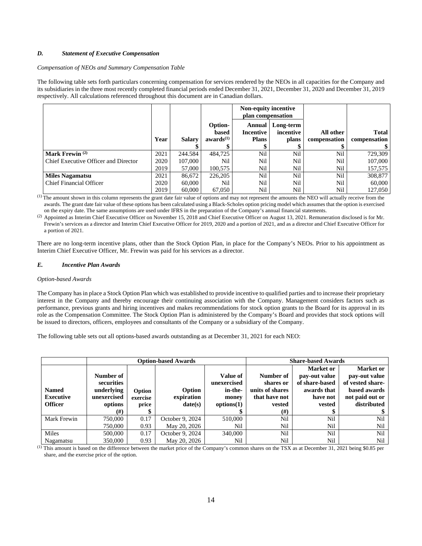### *D. Statement of Executive Compensation*

### *Compensation of NEOs and Summary Compensation Table*

The following table sets forth particulars concerning compensation for services rendered by the NEOs in all capacities for the Company and its subsidiaries in the three most recently completed financial periods ended December 31, 2021, December 31, 2020 and December 31, 2019 respectively. All calculations referenced throughout this document are in Canadian dollars.

|                                      |      |               |                                           | Non-equity incentive<br>plan compensation |                                 |                           |                              |
|--------------------------------------|------|---------------|-------------------------------------------|-------------------------------------------|---------------------------------|---------------------------|------------------------------|
|                                      | Year | <b>Salary</b> | Option-<br>based<br>awards <sup>(1)</sup> | Annual  <br>Incentive<br><b>Plans</b>     | Long-term<br>incentive<br>plans | All other<br>compensation | <b>Total</b><br>compensation |
|                                      |      |               |                                           |                                           |                                 |                           |                              |
| Mark Frewin $(2)$                    | 2021 | 244.584       | 484,725                                   | Nil                                       | Nil                             | Nil                       | 729,309                      |
| Chief Executive Officer and Director | 2020 | 107,000       | Nil                                       | Nil                                       | Nil                             | Nil                       | 107,000                      |
|                                      | 2019 | 57,000        | 100.575                                   | Nil                                       | Nil                             | Nil                       | 157,575                      |
| <b>Miles Nagamatsu</b>               | 2021 | 86,672        | 226,205                                   | Nil                                       | Nil                             | Nil                       | 308,877                      |
| <b>Chief Financial Officer</b>       | 2020 | 60,000        | Nil                                       | Nil                                       | Nil                             | Nil                       | 60,000                       |
|                                      | 2019 | 60,000        | 67,050                                    | Nil                                       | Nil                             | Nil                       | 127,050                      |

(1) The amount shown in this column represents the grant date fair value of options and may not represent the amounts the NEO will actually receive from the awards. The grant date fair value of these options has been calculated using a Black-Scholes option pricing model which assumes that the option is exercised on the expiry date. The same assumptions are used under IFRS in the preparation of the Company's annual financial statements.

<sup>(2)</sup> Appointed as Interim Chief Executive Officer on November 15, 2018 and Chief Executive Officer on August 13, 2021. Remuneration disclosed is for Mr. Frewin's services as a director and Interim Chief Executive Officer for 2019, 2020 and a portion of 2021, and as a director and Chief Executive Officer for a portion of 2021.

There are no long-term incentive plans, other than the Stock Option Plan, in place for the Company's NEOs. Prior to his appointment as Interim Chief Executive Officer, Mr. Frewin was paid for his services as a director.

### *E. Incentive Plan Awards*

#### *Option-based Awards*

The Company has in place a Stock Option Plan which was established to provide incentive to qualified parties and to increase their proprietary interest in the Company and thereby encourage their continuing association with the Company. Management considers factors such as performance, previous grants and hiring incentives and makes recommendations for stock option grants to the Board for its approval in its role as the Compensation Committee. The Stock Option Plan is administered by the Company's Board and provides that stock options will be issued to directors, officers, employees and consultants of the Company or a subsidiary of the Company.

The following table sets out all options-based awards outstanding as at December 31, 2021 for each NEO:

|                  |             |          | <b>Option-based Awards</b> | <b>Share-based Awards</b> |                 |                |                  |
|------------------|-------------|----------|----------------------------|---------------------------|-----------------|----------------|------------------|
|                  |             |          |                            |                           |                 | Market or      | Market or        |
|                  | Number of   |          |                            | Value of                  | Number of       | pay-out value  | pay-out value    |
|                  | securities  |          |                            | unexercised               | shares or       | of share-based | of vested share- |
| <b>Named</b>     | underlying  | Option   | Option                     | in-the-                   | units of shares | awards that    | based awards     |
| <b>Executive</b> | unexercised | exercise | expiration                 | money                     | that have not   | have not       | not paid out or  |
| <b>Officer</b>   | options     | price    | date(s)                    | options(1)                | vested          | vested         | distributed      |
|                  | (#)         |          |                            |                           | (# )            |                |                  |
| Mark Frewin      | 750,000     | 0.17     | October 9, 2024            | 510,000                   | Nil             | Nil            | Nil              |
|                  | 750,000     | 0.93     | May 20, 2026               | Nil                       | Nil             | Nil            | Nil              |
| Miles            | 500,000     | 0.17     | October 9, 2024            | 340,000                   | Nil             | Nil            | Nil              |
| Nagamatsu        | 350,000     | 0.93     | May 20, 2026               | Nil                       | Nil             | Nil            | Nil              |

 $<sup>(1)</sup>$  This amount is based on the difference between the market price of the Company's common shares on the TSX as at December 31, 2021 being \$0.85 per</sup> share, and the exercise price of the option.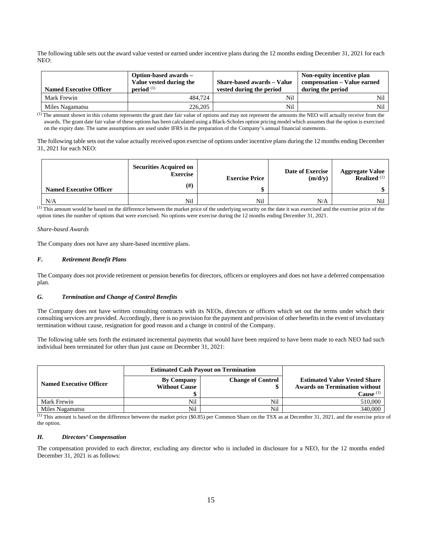The following table sets out the award value vested or earned under incentive plans during the 12 months ending December 31, 2021 for each NEO:

| <b>Named Executive Officer</b> | Option-based awards –<br>Value vested during the<br>period <sup>(1)</sup> | <b>Share-based awards – Value</b><br>vested during the period | Non-equity incentive plan<br>compensation – Value earned<br>during the period |
|--------------------------------|---------------------------------------------------------------------------|---------------------------------------------------------------|-------------------------------------------------------------------------------|
| Mark Frewin                    | 484,724                                                                   | Nil                                                           | Nil                                                                           |
| Miles Nagamatsu                | 226.205                                                                   | Nil                                                           | Nil                                                                           |

(1) The amount shown in this column represents the grant date fair value of options and may not represent the amounts the NEO will actually receive from the awards. The grant date fair value of these options has been calculated using a Black-Scholes option pricing model which assumes that the option is exercised on the expiry date. The same assumptions are used under IFRS in the preparation of the Company's annual financial statements.

The following table sets out the value actually received upon exercise of options under incentive plans during the 12 months ending December 31, 2021 for each NEO:

| <b>Named Executive Officer</b> | <b>Securities Acquired on</b><br><b>Exercise</b><br>$(\#)$ | <b>Exercise Price</b> | Date of Exercise<br>(m/d/y) | <b>Aggregate Value</b><br><b>Realized</b> $(1)$ |
|--------------------------------|------------------------------------------------------------|-----------------------|-----------------------------|-------------------------------------------------|
| N/A                            | Nil                                                        | Nil                   | N/A                         | Nil                                             |

(1) This amount would be based on the difference between the market price of the underlying security on the date it was exercised and the exercise price of the option times the number of options that were exercised. No options were exercise during the 12 months ending December 31, 2021.

### *Share-based Awards*

The Company does not have any share-based incentive plans.

### *F. Retirement Benefit Plans*

The Company does not provide retirement or pension benefits for directors, officers or employees and does not have a deferred compensation plan.

### *G. Termination and Change of Control Benefits*

The Company does not have written consulting contracts with its NEOs, directors or officers which set out the terms under which their consulting services are provided. Accordingly, there is no provision for the payment and provision of other benefits in the event of involuntary termination without cause, resignation for good reason and a change in control of the Company.

The following table sets forth the estimated incremental payments that would have been required to have been made to each NEO had such individual been terminated for other than just cause on December 31, 2021:

| <b>Named Executive Officer</b> | <b>By Company</b><br><b>Without Cause</b> | <b>Change of Control</b> | <b>Estimated Value Vested Share</b><br><b>Awards on Termination without</b> |
|--------------------------------|-------------------------------------------|--------------------------|-----------------------------------------------------------------------------|
|                                |                                           |                          | Cause $(1)$                                                                 |
| Mark Frewin                    | Nil                                       | Nil                      | 510,000                                                                     |
| Miles Nagamatsu                | Nil                                       | Nil                      | 340,000                                                                     |

 $\overline{^{(1)}}$  This amount is based on the difference between the market price (\$0.85) per Common Share on the TSX as at December 31, 2021, and the exercise price of the option.

### *H. Directors' Compensation*

The compensation provided to each director, excluding any director who is included in disclosure for a NEO, for the 12 months ended December 31, 2021 is as follows: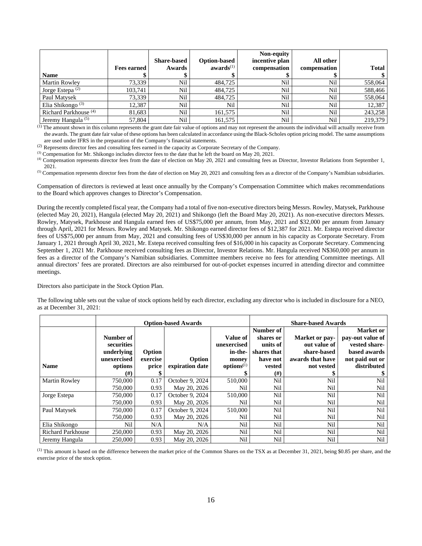|                                  |                    |                    |                       | Non-equity     |              |              |
|----------------------------------|--------------------|--------------------|-----------------------|----------------|--------------|--------------|
|                                  |                    | <b>Share-based</b> | <b>Option-based</b>   | incentive plan | All other    |              |
|                                  | <b>Fees earned</b> | Awards             | awards <sup>(1)</sup> | compensation   | compensation | <b>Total</b> |
| <b>Name</b>                      |                    |                    |                       |                |              |              |
| <b>Martin Rowley</b>             | 73.339             | Nil                | 484,725               | Nil            | Nil          | 558,064      |
| Jorge Estepa $(2)$               | 103.741            | Nil                | 484,725               | Nil            | Nil          | 588,466      |
| Paul Matysek                     | 73,339             | Nil                | 484,725               | <b>Nil</b>     | Nil          | 558,064      |
| Elia Shikongo $(3)$              | 12.387             | Nil                | Nil                   | Nil            | Nil          | 12,387       |
| Richard Parkhouse <sup>(4)</sup> | 81.683             | Nil                | 161.575               | Nil            | Nil          | 243,258      |
| Jeremy Hangula <sup>(5)</sup>    | 57,804             | Nil                | 161,575               | Nil            | Nil          | 219.379      |

(1) The amount shown in this column represents the grant date fair value of options and may not represent the amounts the individual will actually receive from the awards. The grant date fair value of these options has been calculated in accordance using the Black-Scholes option pricing model. The same assumptions

are used under IFRS in the preparation of the Company's financial statements.<br><sup>(2)</sup> Represents director fees and consulting fees earned in the capacity as Corporate Secretary of the Company.

(3) Compensation for Mr. Shikongo includes director fees to the date that he left the board on May 20, 2021.<br>(4) Compensation represents director fees from the date of election on May 20, 2021 and consulting fees as Direc

2021.<br><sup>(5)</sup> Compensation represents director fees from the date of election on May 20, 2021 and consulting fees as a director of the Company's Namibian subsidiaries.

Compensation of directors is reviewed at least once annually by the Company's Compensation Committee which makes recommendations to the Board which approves changes to Director's Compensation.

During the recently completed fiscal year, the Company had a total of five non-executive directors being Messrs. Rowley, Matysek, Parkhouse (elected May 20, 2021), Hangula (elected May 20, 2021) and Shikongo (left the Board May 20, 2021). As non-executive directors Messrs. Rowley, Matysek, Parkhouse and Hangula earned fees of US\$75,000 per annum, from May, 2021 and \$32,000 per annum from January through April, 2021 for Messrs. Rowley and Matysek. Mr. Shikongo earned director fees of \$12,387 for 2021. Mr. Estepa received director fees of US\$75,000 per annum from May, 2021 and consulting fees of US\$30,000 per annum in his capacity as Corporate Secretary. From January 1, 2021 through April 30, 2021, Mr. Estepa received consulting fees of \$16,000 in his capacity as Corporate Secretary. Commencing September 1, 2021 Mr. Parkhouse received consulting fees as Director, Investor Relations. Mr. Hangula received N\$360,000 per annum in fees as a director of the Company's Namibian subsidiaries. Committee members receive no fees for attending Committee meetings. All annual directors' fees are prorated. Directors are also reimbursed for out-of-pocket expenses incurred in attending director and committee meetings.

Directors also participate in the Stock Option Plan.

The following table sets out the value of stock options held by each director, excluding any director who is included in disclosure for a NEO, as at December 31, 2021:

|                          |             |          | <b>Option-based Awards</b> | <b>Share-based Awards</b> |             |                  |                  |
|--------------------------|-------------|----------|----------------------------|---------------------------|-------------|------------------|------------------|
|                          |             |          |                            |                           | Number of   |                  | <b>Market</b> or |
|                          | Number of   |          |                            | Value of                  | shares or   | Market or pay-   | pay-out value of |
|                          | securities  |          |                            | unexercised               | units of    | out value of     | vested share-    |
|                          | underlying  | Option   |                            | in-the-                   | shares that | share-based      | based awards     |
|                          | unexercised | exercise | Option                     | money                     | have not    | awards that have | not paid out or  |
| <b>Name</b>              | options     | price    | expiration date            | $\mathbf{options}^{(1)}$  | vested      | not vested       | distributed      |
|                          | (#)         |          |                            |                           | $^{(#)}$    |                  |                  |
| <b>Martin Rowley</b>     | 750,000     | 0.17     | October 9, 2024            | 510,000                   | Nil         | Nil              | Nil              |
|                          | 750,000     | 0.93     | May 20, 2026               | Nil                       | Nil         | Nil              | Nil              |
| Jorge Estepa             | 750,000     | 0.17     | October 9, 2024            | 510,000                   | Nil         | Nil              | Nil              |
|                          | 750,000     | 0.93     | May 20, 2026               | Nil                       | Nil         | Nil              | Nil              |
| Paul Matysek             | 750,000     | 0.17     | October 9, 2024            | 510,000                   | Nil         | Nil              | Nil              |
|                          | 750,000     | 0.93     | May 20, 2026               | Nil                       | Nil         | Nil              | Nil              |
| Elia Shikongo            | Nil         | N/A      | N/A                        | Nil                       | Nil         | Nil              | Nil              |
| <b>Richard Parkhouse</b> | 250,000     | 0.93     | May 20, 2026               | Nil                       | Nil         | Nil              | Nil              |
| Jeremy Hangula           | 250,000     | 0.93     | May 20, 2026               | Nil                       | Nil         | Nil              | Nil              |

(1) This amount is based on the difference between the market price of the Common Shares on the TSX as at December 31, 2021, being \$0.85 per share, and the exercise price of the stock option.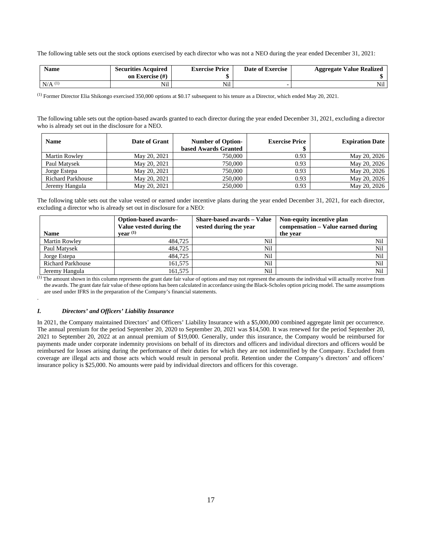The following table sets out the stock options exercised by each director who was not a NEO during the year ended December 31, 2021:

| <b>Name</b> | <b>Securities Acquired</b><br>on Exercise $(\#)$ | <b>Exercise Price</b> | Date of Exercise | <b>Aggregate Value Realized</b> |
|-------------|--------------------------------------------------|-----------------------|------------------|---------------------------------|
| $N/A$ $(1)$ | $\cdots$                                         | Nil                   |                  | $-1$<br>N1l                     |

 $^{(1)}$  Former Director Elia Shikongo exercised 350,000 options at \$0.17 subsequent to his tenure as a Director, which ended May 20, 2021.

The following table sets out the option-based awards granted to each director during the year ended December 31, 2021, excluding a director who is already set out in the disclosure for a NEO.

| <b>Name</b>              | Date of Grant | <b>Number of Option-</b><br>based Awards Granted | <b>Exercise Price</b> | <b>Expiration Date</b> |
|--------------------------|---------------|--------------------------------------------------|-----------------------|------------------------|
| <b>Martin Rowley</b>     | May 20, 2021  | 750,000                                          | 0.93                  | May 20, 2026           |
| Paul Matysek             | May 20, 2021  | 750,000                                          | 0.93                  | May 20, 2026           |
| Jorge Estepa             | May 20, 2021  | 750,000                                          | 0.93                  | May 20, 2026           |
| <b>Richard Parkhouse</b> | May 20, 2021  | 250,000                                          | 0.93                  | May 20, 2026           |
| Jeremy Hangula           | May 20, 2021  | 250,000                                          | 0.93                  | May 20, 2026           |

The following table sets out the value vested or earned under incentive plans during the year ended December 31, 2021, for each director, excluding a director who is already set out in disclosure for a NEO:

| <b>Name</b>              | Option-based awards-<br>Value vested during the<br>year <sup>(1)</sup> | <b>Share-based awards – Value</b><br>vested during the year | Non-equity incentive plan<br>compensation – Value earned during<br>the year |
|--------------------------|------------------------------------------------------------------------|-------------------------------------------------------------|-----------------------------------------------------------------------------|
| <b>Martin Rowley</b>     | 484,725                                                                | Nil                                                         | Nil                                                                         |
| Paul Matysek             | 484,725                                                                | Nil                                                         | Nil                                                                         |
| Jorge Estepa             | 484,725                                                                | Nil                                                         | Nil                                                                         |
| <b>Richard Parkhouse</b> | 161,575                                                                | Nil                                                         | Nil                                                                         |
| Jeremy Hangula           | 161,575                                                                | Nil                                                         | Nil                                                                         |

(1) The amount shown in this column represents the grant date fair value of options and may not represent the amounts the individual will actually receive from the awards. The grant date fair value of these options has been calculated in accordance using the Black-Scholes option pricing model. The same assumptions are used under IFRS in the preparation of the Company's financial statements.

### *I. Directors' and Officers' Liability Insurance*

.

In 2021, the Company maintained Directors' and Officers' Liability Insurance with a \$5,000,000 combined aggregate limit per occurrence. The annual premium for the period September 20, 2020 to September 20, 2021 was \$14,500. It was renewed for the period September 20, 2021 to September 20, 2022 at an annual premium of \$19,000. Generally, under this insurance, the Company would be reimbursed for payments made under corporate indemnity provisions on behalf of its directors and officers and individual directors and officers would be reimbursed for losses arising during the performance of their duties for which they are not indemnified by the Company. Excluded from coverage are illegal acts and those acts which would result in personal profit. Retention under the Company's directors' and officers' insurance policy is \$25,000. No amounts were paid by individual directors and officers for this coverage.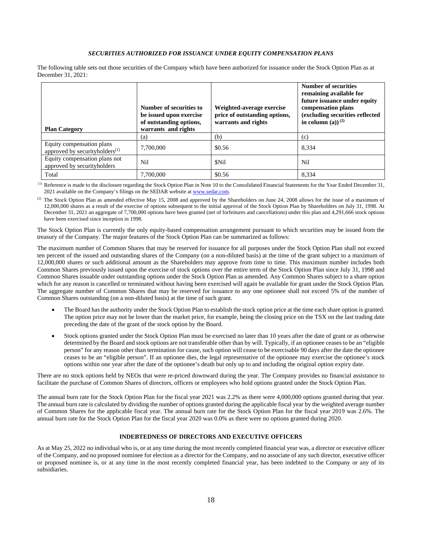### *SECURITIES AUTHORIZED FOR ISSUANCE UNDER EQUITY COMPENSATION PLANS*

The following table sets out those securities of the Company which have been authorized for issuance under the Stock Option Plan as at December 31, 2021:

| <b>Plan Category</b>                                                    | Number of securities to<br>be issued upon exercise<br>of outstanding options,<br>warrants and rights | Weighted-average exercise<br>price of outstanding options,<br>warrants and rights | <b>Number of securities</b><br>remaining available for<br>future issuance under equity<br>compensation plans<br>(excluding securities reflected<br>in column (a)) $^{(2)}$ |
|-------------------------------------------------------------------------|------------------------------------------------------------------------------------------------------|-----------------------------------------------------------------------------------|----------------------------------------------------------------------------------------------------------------------------------------------------------------------------|
|                                                                         | (a)                                                                                                  | (b)                                                                               | (c)                                                                                                                                                                        |
| Equity compensation plans<br>approved by securityholders <sup>(1)</sup> | 7,700,000                                                                                            | \$0.56                                                                            | 8,334                                                                                                                                                                      |
| Equity compensation plans not<br>approved by securityholders            | Nil                                                                                                  | <b>SNil</b>                                                                       | Nil                                                                                                                                                                        |
| Total                                                                   | 7.700,000                                                                                            | \$0.56                                                                            | 8,334                                                                                                                                                                      |

 (1) Reference is made to the disclosure regarding the Stock Option Plan in Note 10 to the Consolidated Financial Statements for the Year Ended December 31, 2021 available on the Company's filings on the SEDAR website at www.sedar.com.

<sup>(2)</sup> The Stock Option Plan as amended effective May 15, 2008 and approved by the Shareholders on June 24, 2008 allows for the issue of a maximum of 12,000,000 shares as a result of the exercise of options subsequent to the initial approval of the Stock Option Plan by Shareholders on July 31, 1998. At December 31, 2021 an aggregate of 7,700,000 options have been granted (net of forfeitures and cancellations) under this plan and 4,291,666 stock options have been exercised since inception in 1998.

The Stock Option Plan is currently the only equity-based compensation arrangement pursuant to which securities may be issued from the treasury of the Company. The major features of the Stock Option Plan can be summarized as follows:

The maximum number of Common Shares that may be reserved for issuance for all purposes under the Stock Option Plan shall not exceed ten percent of the issued and outstanding shares of the Company (on a non-diluted basis) at the time of the grant subject to a maximum of 12,000,000 shares or such additional amount as the Shareholders may approve from time to time. This maximum number includes both Common Shares previously issued upon the exercise of stock options over the entire term of the Stock Option Plan since July 31, 1998 and Common Shares issuable under outstanding options under the Stock Option Plan as amended. Any Common Shares subject to a share option which for any reason is cancelled or terminated without having been exercised will again be available for grant under the Stock Option Plan. The aggregate number of Common Shares that may be reserved for issuance to any one optionee shall not exceed 5% of the number of Common Shares outstanding (on a non-diluted basis) at the time of such grant.

- The Board has the authority under the Stock Option Plan to establish the stock option price at the time each share option is granted. The option price may not be lower than the market price, for example, being the closing price on the TSX on the last trading date preceding the date of the grant of the stock option by the Board.
- Stock options granted under the Stock Option Plan must be exercised no later than 10 years after the date of grant or as otherwise determined by the Board and stock options are not transferable other than by will. Typically, if an optionee ceases to be an "eligible person" for any reason other than termination for cause, such option will cease to be exercisable 90 days after the date the optionee ceases to be an "eligible person". If an optionee dies, the legal representative of the optionee may exercise the optionee's stock options within one year after the date of the optionee's death but only up to and including the original option expiry date.

There are no stock options held by NEOs that were re-priced downward during the year. The Company provides no financial assistance to facilitate the purchase of Common Shares of directors, officers or employees who hold options granted under the Stock Option Plan.

The annual burn rate for the Stock Option Plan for the fiscal year 2021 was 2.2% as there were 4,000,000 options granted during that year. The annual burn rate is calculated by dividing the number of options granted during the applicable fiscal year by the weighted average number of Common Shares for the applicable fiscal year. The annual burn rate for the Stock Option Plan for the fiscal year 2019 was 2.6%. The annual burn rate for the Stock Option Plan for the fiscal year 2020 was 0.0% as there were no options granted during 2020.

### **INDEBTEDNESS OF DIRECTORS AND EXECUTIVE OFFICERS**

As at May 25, 2022 no individual who is, or at any time during the most recently completed financial year was, a director or executive officer of the Company, and no proposed nominee for election as a director for the Company, and no associate of any such director, executive officer or proposed nominee is, or at any time in the most recently completed financial year, has been indebted to the Company or any of its subsidiaries.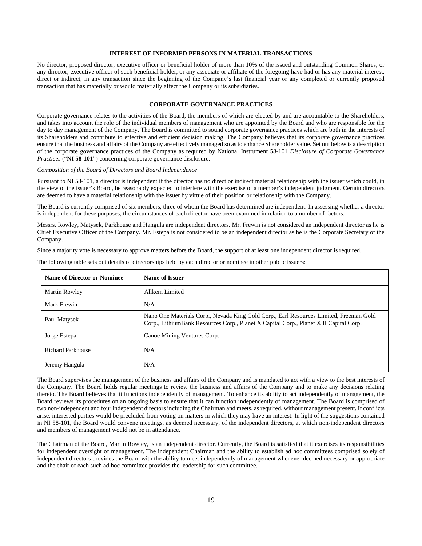### **INTEREST OF INFORMED PERSONS IN MATERIAL TRANSACTIONS**

No director, proposed director, executive officer or beneficial holder of more than 10% of the issued and outstanding Common Shares, or any director, executive officer of such beneficial holder, or any associate or affiliate of the foregoing have had or has any material interest, direct or indirect, in any transaction since the beginning of the Company's last financial year or any completed or currently proposed transaction that has materially or would materially affect the Company or its subsidiaries.

### **CORPORATE GOVERNANCE PRACTICES**

Corporate governance relates to the activities of the Board, the members of which are elected by and are accountable to the Shareholders, and takes into account the role of the individual members of management who are appointed by the Board and who are responsible for the day to day management of the Company. The Board is committed to sound corporate governance practices which are both in the interests of its Shareholders and contribute to effective and efficient decision making. The Company believes that its corporate governance practices ensure that the business and affairs of the Company are effectively managed so as to enhance Shareholder value. Set out below is a description of the corporate governance practices of the Company as required by National Instrument 58-101 *Disclosure of Corporate Governance Practices* ("**NI 58-101**") concerning corporate governance disclosure.

### *Composition of the Board of Directors and Board Independence*

Pursuant to NI 58-101, a director is independent if the director has no direct or indirect material relationship with the issuer which could, in the view of the issuer's Board, be reasonably expected to interfere with the exercise of a member's independent judgment. Certain directors are deemed to have a material relationship with the issuer by virtue of their position or relationship with the Company.

The Board is currently comprised of six members, three of whom the Board has determined are independent. In assessing whether a director is independent for these purposes, the circumstances of each director have been examined in relation to a number of factors.

Messrs. Rowley, Matysek, Parkhouse and Hangula are independent directors. Mr. Frewin is not considered an independent director as he is Chief Executive Officer of the Company. Mr. Estepa is not considered to be an independent director as he is the Corporate Secretary of the Company.

Since a majority vote is necessary to approve matters before the Board, the support of at least one independent director is required.

| Name of Director or Nominee | Name of Issuer                                                                                                                                                                  |
|-----------------------------|---------------------------------------------------------------------------------------------------------------------------------------------------------------------------------|
| <b>Martin Rowley</b>        | Allkem Limited                                                                                                                                                                  |
| Mark Frewin                 | N/A                                                                                                                                                                             |
| Paul Matysek                | Nano One Materials Corp., Nevada King Gold Corp., Earl Resources Limited, Freeman Gold<br>Corp., LithiumBank Resources Corp., Planet X Capital Corp., Planet X II Capital Corp. |
| Jorge Estepa                | Canoe Mining Ventures Corp.                                                                                                                                                     |
| <b>Richard Parkhouse</b>    | N/A                                                                                                                                                                             |
| Jeremy Hangula              | N/A                                                                                                                                                                             |

The following table sets out details of directorships held by each director or nominee in other public issuers:

The Board supervises the management of the business and affairs of the Company and is mandated to act with a view to the best interests of the Company. The Board holds regular meetings to review the business and affairs of the Company and to make any decisions relating thereto. The Board believes that it functions independently of management. To enhance its ability to act independently of management, the Board reviews its procedures on an ongoing basis to ensure that it can function independently of management. The Board is comprised of two non-independent and four independent directors including the Chairman and meets, as required, without management present. If conflicts arise, interested parties would be precluded from voting on matters in which they may have an interest. In light of the suggestions contained in NI 58-101, the Board would convene meetings, as deemed necessary, of the independent directors, at which non-independent directors and members of management would not be in attendance.

The Chairman of the Board, Martin Rowley, is an independent director. Currently, the Board is satisfied that it exercises its responsibilities for independent oversight of management. The independent Chairman and the ability to establish ad hoc committees comprised solely of independent directors provides the Board with the ability to meet independently of management whenever deemed necessary or appropriate and the chair of each such ad hoc committee provides the leadership for such committee.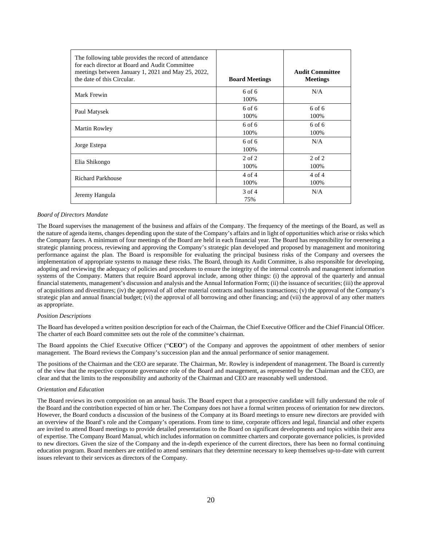| The following table provides the record of attendance<br>for each director at Board and Audit Committee<br>meetings between January 1, 2021 and May 25, 2022,<br>the date of this Circular. | <b>Board Meetings</b> | <b>Audit Committee</b><br><b>Meetings</b> |
|---------------------------------------------------------------------------------------------------------------------------------------------------------------------------------------------|-----------------------|-------------------------------------------|
| Mark Frewin                                                                                                                                                                                 | $6$ of $6$<br>100%    | N/A                                       |
| Paul Matysek                                                                                                                                                                                | $6$ of $6$<br>100%    | $6$ of $6$<br>100%                        |
| Martin Rowley                                                                                                                                                                               | $6$ of $6$<br>100%    | $6$ of $6$<br>100%                        |
| Jorge Estepa                                                                                                                                                                                | $6$ of $6$<br>100%    | N/A                                       |
| Elia Shikongo                                                                                                                                                                               | $2$ of $2$<br>100%    | $2$ of $2$<br>100%                        |
| <b>Richard Parkhouse</b>                                                                                                                                                                    | $4$ of $4$<br>100%    | $4$ of $4$<br>100%                        |
| Jeremy Hangula                                                                                                                                                                              | $3$ of 4<br>75%       | N/A                                       |

#### *Board of Directors Mandate*

The Board supervises the management of the business and affairs of the Company. The frequency of the meetings of the Board, as well as the nature of agenda items, changes depending upon the state of the Company's affairs and in light of opportunities which arise or risks which the Company faces. A minimum of four meetings of the Board are held in each financial year. The Board has responsibility for overseeing a strategic planning process, reviewing and approving the Company's strategic plan developed and proposed by management and monitoring performance against the plan. The Board is responsible for evaluating the principal business risks of the Company and oversees the implementation of appropriate systems to manage these risks. The Board, through its Audit Committee, is also responsible for developing, adopting and reviewing the adequacy of policies and procedures to ensure the integrity of the internal controls and management information systems of the Company. Matters that require Board approval include, among other things: (i) the approval of the quarterly and annual financial statements, management's discussion and analysis and the Annual Information Form; (ii) the issuance of securities; (iii) the approval of acquisitions and divestitures; (iv) the approval of all other material contracts and business transactions; (v) the approval of the Company's strategic plan and annual financial budget; (vi) the approval of all borrowing and other financing; and (vii) the approval of any other matters as appropriate.

#### *Position Descriptions*

The Board has developed a written position description for each of the Chairman, the Chief Executive Officer and the Chief Financial Officer. The charter of each Board committee sets out the role of the committee's chairman.

The Board appoints the Chief Executive Officer ("**CEO**") of the Company and approves the appointment of other members of senior management. The Board reviews the Company's succession plan and the annual performance of senior management.

The positions of the Chairman and the CEO are separate. The Chairman, Mr. Rowley is independent of management. The Board is currently of the view that the respective corporate governance role of the Board and management, as represented by the Chairman and the CEO, are clear and that the limits to the responsibility and authority of the Chairman and CEO are reasonably well understood.

#### *Orientation and Education*

The Board reviews its own composition on an annual basis. The Board expect that a prospective candidate will fully understand the role of the Board and the contribution expected of him or her. The Company does not have a formal written process of orientation for new directors. However, the Board conducts a discussion of the business of the Company at its Board meetings to ensure new directors are provided with an overview of the Board's role and the Company's operations. From time to time, corporate officers and legal, financial and other experts are invited to attend Board meetings to provide detailed presentations to the Board on significant developments and topics within their area of expertise. The Company Board Manual, which includes information on committee charters and corporate governance policies, is provided to new directors. Given the size of the Company and the in-depth experience of the current directors, there has been no formal continuing education program. Board members are entitled to attend seminars that they determine necessary to keep themselves up-to-date with current issues relevant to their services as directors of the Company.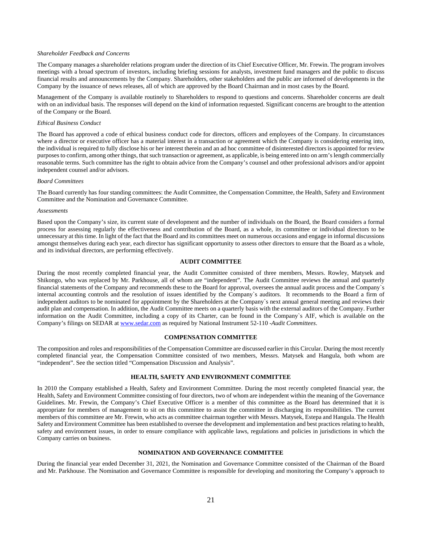### *Shareholder Feedback and Concerns*

The Company manages a shareholder relations program under the direction of its Chief Executive Officer, Mr. Frewin. The program involves meetings with a broad spectrum of investors, including briefing sessions for analysts, investment fund managers and the public to discuss financial results and announcements by the Company. Shareholders, other stakeholders and the public are informed of developments in the Company by the issuance of news releases, all of which are approved by the Board Chairman and in most cases by the Board.

Management of the Company is available routinely to Shareholders to respond to questions and concerns. Shareholder concerns are dealt with on an individual basis. The responses will depend on the kind of information requested. Significant concerns are brought to the attention of the Company or the Board.

#### *Ethical Business Conduct*

The Board has approved a code of ethical business conduct code for directors, officers and employees of the Company. In circumstances where a director or executive officer has a material interest in a transaction or agreement which the Company is considering entering into, the individual is required to fully disclose his or her interest therein and an ad hoc committee of disinterested directors is appointed for review purposes to confirm, among other things, that such transaction or agreement, as applicable, is being entered into on arm's length commercially reasonable terms. Such committee has the right to obtain advice from the Company's counsel and other professional advisors and/or appoint independent counsel and/or advisors.

#### *Board Committees*

The Board currently has four standing committees: the Audit Committee, the Compensation Committee, the Health, Safety and Environment Committee and the Nomination and Governance Committee.

#### *Assessments*

Based upon the Company's size, its current state of development and the number of individuals on the Board, the Board considers a formal process for assessing regularly the effectiveness and contribution of the Board, as a whole, its committee or individual directors to be unnecessary at this time. In light of the fact that the Board and its committees meet on numerous occasions and engage in informal discussions amongst themselves during each year, each director has significant opportunity to assess other directors to ensure that the Board as a whole, and its individual directors, are performing effectively.

### **AUDIT COMMITTEE**

During the most recently completed financial year, the Audit Committee consisted of three members, Messrs. Rowley, Matysek and Shikongo, who was replaced by Mr. Parkhouse, all of whom are "independent". The Audit Committee reviews the annual and quarterly financial statements of the Company and recommends these to the Board for approval, oversees the annual audit process and the Company`s internal accounting controls and the resolution of issues identified by the Company`s auditors. It recommends to the Board a firm of independent auditors to be nominated for appointment by the Shareholders at the Company`s next annual general meeting and reviews their audit plan and compensation. In addition, the Audit Committee meets on a quarterly basis with the external auditors of the Company. Further information on the Audit Committee, including a copy of its Charter, can be found in the Company`s AIF, which is available on the Company's filings on SEDAR at www.sedar.com as required by National Instrument 52-110 -*Audit Committees*.

#### **COMPENSATION COMMITTEE**

The composition and roles and responsibilities of the Compensation Committee are discussed earlier in this Circular. During the most recently completed financial year, the Compensation Committee consisted of two members, Messrs. Matysek and Hangula, both whom are "independent". See the section titled "Compensation Discussion and Analysis".

### **HEALTH, SAFETY AND ENVIRONMENT COMMITTEE**

In 2010 the Company established a Health, Safety and Environment Committee. During the most recently completed financial year, the Health, Safety and Environment Committee consisting of four directors, two of whom are independent within the meaning of the Governance Guidelines. Mr. Frewin, the Company's Chief Executive Officer is a member of this committee as the Board has determined that it is appropriate for members of management to sit on this committee to assist the committee in discharging its responsibilities. The current members of this committee are Mr. Frewin, who acts as committee chairman together with Messrs. Matysek, Estepa and Hangula. The Health Safety and Environment Committee has been established to oversee the development and implementation and best practices relating to health, safety and environment issues, in order to ensure compliance with applicable laws, regulations and policies in jurisdictions in which the Company carries on business.

### **NOMINATION AND GOVERNANCE COMMITTEE**

During the financial year ended December 31, 2021, the Nomination and Governance Committee consisted of the Chairman of the Board and Mr. Parkhouse. The Nomination and Governance Committee is responsible for developing and monitoring the Company's approach to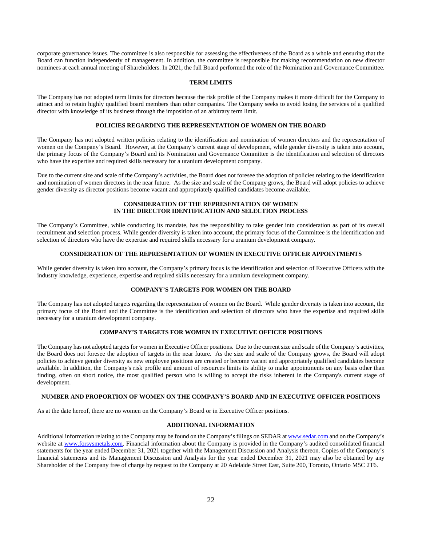corporate governance issues. The committee is also responsible for assessing the effectiveness of the Board as a whole and ensuring that the Board can function independently of management. In addition, the committee is responsible for making recommendation on new director nominees at each annual meeting of Shareholders. In 2021, the full Board performed the role of the Nomination and Governance Committee.

#### **TERM LIMITS**

The Company has not adopted term limits for directors because the risk profile of the Company makes it more difficult for the Company to attract and to retain highly qualified board members than other companies. The Company seeks to avoid losing the services of a qualified director with knowledge of its business through the imposition of an arbitrary term limit.

### **POLICIES REGARDING THE REPRESENTATION OF WOMEN ON THE BOARD**

The Company has not adopted written policies relating to the identification and nomination of women directors and the representation of women on the Company's Board. However, at the Company's current stage of development, while gender diversity is taken into account, the primary focus of the Company's Board and its Nomination and Governance Committee is the identification and selection of directors who have the expertise and required skills necessary for a uranium development company.

Due to the current size and scale of the Company's activities, the Board does not foresee the adoption of policies relating to the identification and nomination of women directors in the near future. As the size and scale of the Company grows, the Board will adopt policies to achieve gender diversity as director positions become vacant and appropriately qualified candidates become available.

### **CONSIDERATION OF THE REPRESENTATION OF WOMEN IN THE DIRECTOR IDENTIFICATION AND SELECTION PROCESS**

The Company's Committee, while conducting its mandate, has the responsibility to take gender into consideration as part of its overall recruitment and selection process. While gender diversity is taken into account, the primary focus of the Committee is the identification and selection of directors who have the expertise and required skills necessary for a uranium development company.

### **CONSIDERATION OF THE REPRESENTATION OF WOMEN IN EXECUTIVE OFFICER APPOINTMENTS**

While gender diversity is taken into account, the Company's primary focus is the identification and selection of Executive Officers with the industry knowledge, experience, expertise and required skills necessary for a uranium development company.

### **COMPANY'S TARGETS FOR WOMEN ON THE BOARD**

The Company has not adopted targets regarding the representation of women on the Board. While gender diversity is taken into account, the primary focus of the Board and the Committee is the identification and selection of directors who have the expertise and required skills necessary for a uranium development company.

### **COMPANY'S TARGETS FOR WOMEN IN EXECUTIVE OFFICER POSITIONS**

The Company has not adopted targets for women in Executive Officer positions. Due to the current size and scale of the Company's activities, the Board does not foresee the adoption of targets in the near future. As the size and scale of the Company grows, the Board will adopt policies to achieve gender diversity as new employee positions are created or become vacant and appropriately qualified candidates become available. In addition, the Company's risk profile and amount of resources limits its ability to make appointments on any basis other than finding, often on short notice, the most qualified person who is willing to accept the risks inherent in the Company's current stage of development.

### **NUMBER AND PROPORTION OF WOMEN ON THE COMPANY'S BOARD AND IN EXECUTIVE OFFICER POSITIONS**

As at the date hereof, there are no women on the Company's Board or in Executive Officer positions.

### **ADDITIONAL INFORMATION**

Additional information relating to the Company may be found on the Company's filings on SEDAR at www.sedar.com and on the Company's website at www.forsysmetals.com. Financial information about the Company is provided in the Company's audited consolidated financial statements for the year ended December 31, 2021 together with the Management Discussion and Analysis thereon. Copies of the Company's financial statements and its Management Discussion and Analysis for the year ended December 31, 2021 may also be obtained by any Shareholder of the Company free of charge by request to the Company at 20 Adelaide Street East, Suite 200, Toronto, Ontario M5C 2T6.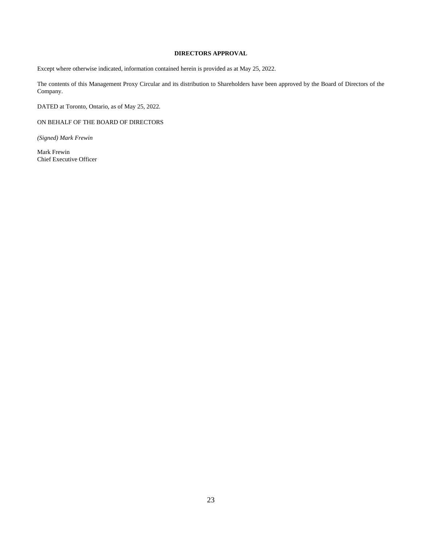### **DIRECTORS APPROVAL**

Except where otherwise indicated, information contained herein is provided as at May 25, 2022.

The contents of this Management Proxy Circular and its distribution to Shareholders have been approved by the Board of Directors of the Company.

DATED at Toronto, Ontario, as of May 25, 2022.

ON BEHALF OF THE BOARD OF DIRECTORS

*(Signed) Mark Frewin* 

Mark Frewin Chief Executive Officer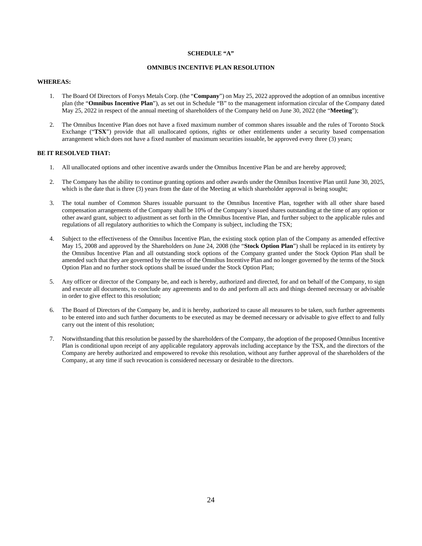#### **SCHEDULE "A"**

### **OMNIBUS INCENTIVE PLAN RESOLUTION**

### **WHEREAS:**

- 1. The Board Of Directors of Forsys Metals Corp. (the "**Company**") on May 25, 2022 approved the adoption of an omnibus incentive plan (the "**Omnibus Incentive Plan**"), as set out in Schedule "B" to the management information circular of the Company dated May 25, 2022 in respect of the annual meeting of shareholders of the Company held on June 30, 2022 (the "**Meeting**");
- 2. The Omnibus Incentive Plan does not have a fixed maximum number of common shares issuable and the rules of Toronto Stock Exchange ("**TSX**") provide that all unallocated options, rights or other entitlements under a security based compensation arrangement which does not have a fixed number of maximum securities issuable, be approved every three (3) years;

### **BE IT RESOLVED THAT:**

- 1. All unallocated options and other incentive awards under the Omnibus Incentive Plan be and are hereby approved;
- 2. The Company has the ability to continue granting options and other awards under the Omnibus Incentive Plan until June 30, 2025, which is the date that is three (3) years from the date of the Meeting at which shareholder approval is being sought;
- 3. The total number of Common Shares issuable pursuant to the Omnibus Incentive Plan, together with all other share based compensation arrangements of the Company shall be 10% of the Company's issued shares outstanding at the time of any option or other award grant, subject to adjustment as set forth in the Omnibus Incentive Plan, and further subject to the applicable rules and regulations of all regulatory authorities to which the Company is subject, including the TSX;
- 4. Subject to the effectiveness of the Omnibus Incentive Plan, the existing stock option plan of the Company as amended effective May 15, 2008 and approved by the Shareholders on June 24, 2008 (the "**Stock Option Plan**") shall be replaced in its entirety by the Omnibus Incentive Plan and all outstanding stock options of the Company granted under the Stock Option Plan shall be amended such that they are governed by the terms of the Omnibus Incentive Plan and no longer governed by the terms of the Stock Option Plan and no further stock options shall be issued under the Stock Option Plan;
- 5. Any officer or director of the Company be, and each is hereby, authorized and directed, for and on behalf of the Company, to sign and execute all documents, to conclude any agreements and to do and perform all acts and things deemed necessary or advisable in order to give effect to this resolution;
- 6. The Board of Directors of the Company be, and it is hereby, authorized to cause all measures to be taken, such further agreements to be entered into and such further documents to be executed as may be deemed necessary or advisable to give effect to and fully carry out the intent of this resolution;
- 7. Notwithstanding that this resolution be passed by the shareholders of the Company, the adoption of the proposed Omnibus Incentive Plan is conditional upon receipt of any applicable regulatory approvals including acceptance by the TSX, and the directors of the Company are hereby authorized and empowered to revoke this resolution, without any further approval of the shareholders of the Company, at any time if such revocation is considered necessary or desirable to the directors.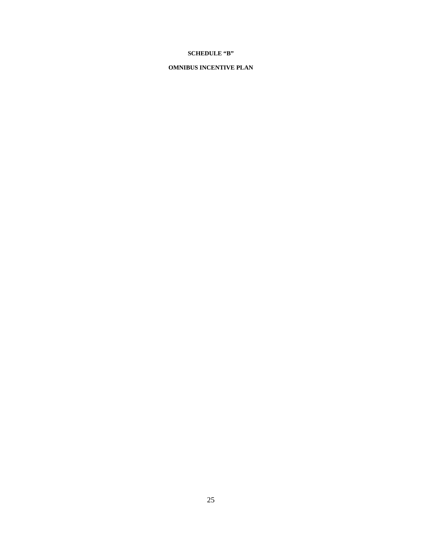### **SCHEDULE "B"**

### **OMNIBUS INCENTIVE PLAN**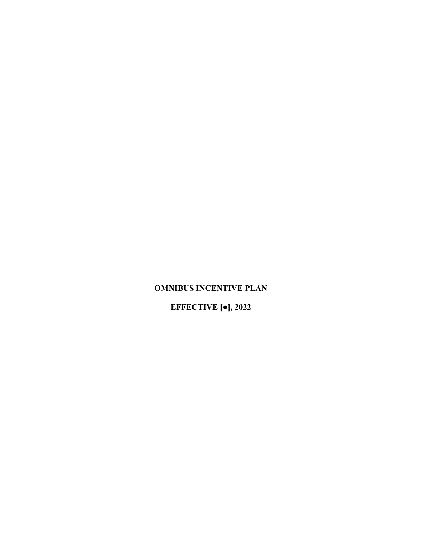# **OMNIBUS INCENTIVE PLAN**

# **EFFECTIVE [●], 2022**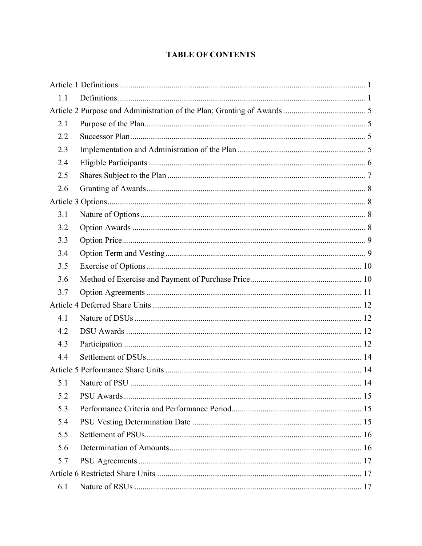# **TABLE OF CONTENTS**

| 1.1 |  |
|-----|--|
|     |  |
| 2.1 |  |
| 2.2 |  |
| 2.3 |  |
| 2.4 |  |
| 2.5 |  |
| 2.6 |  |
|     |  |
| 3.1 |  |
| 3.2 |  |
| 3.3 |  |
| 3.4 |  |
| 3.5 |  |
| 3.6 |  |
| 3.7 |  |
|     |  |
| 4.1 |  |
| 4.2 |  |
| 4.3 |  |
| 4.4 |  |
|     |  |
| 5.1 |  |
| 5.2 |  |
| 5.3 |  |
| 5.4 |  |
| 5.5 |  |
| 5.6 |  |
| 5.7 |  |
|     |  |
| 6.1 |  |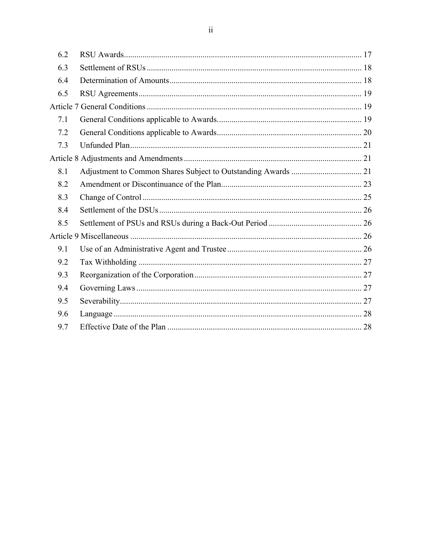| 6.2 |  |
|-----|--|
| 6.3 |  |
| 6.4 |  |
| 6.5 |  |
|     |  |
| 7.1 |  |
| 7.2 |  |
| 7.3 |  |
|     |  |
| 8.1 |  |
| 8.2 |  |
| 8.3 |  |
| 8.4 |  |
| 8.5 |  |
|     |  |
| 9.1 |  |
| 9.2 |  |
| 9.3 |  |
| 9.4 |  |
| 9.5 |  |
| 9.6 |  |
| 9.7 |  |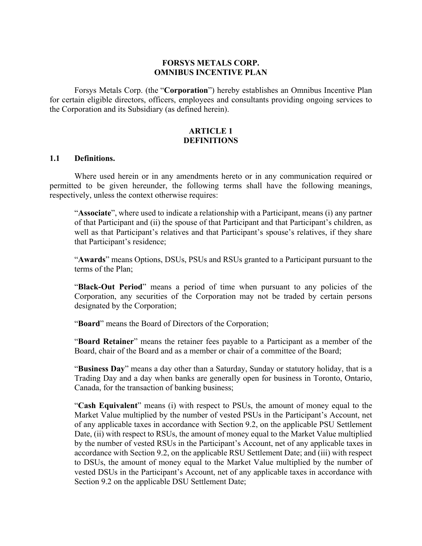### **FORSYS METALS CORP. OMNIBUS INCENTIVE PLAN**

Forsys Metals Corp. (the "**Corporation**") hereby establishes an Omnibus Incentive Plan for certain eligible directors, officers, employees and consultants providing ongoing services to the Corporation and its Subsidiary (as defined herein).

# **ARTICLE 1 DEFINITIONS**

### **1.1 Definitions.**

Where used herein or in any amendments hereto or in any communication required or permitted to be given hereunder, the following terms shall have the following meanings, respectively, unless the context otherwise requires:

"**Associate**", where used to indicate a relationship with a Participant, means (i) any partner of that Participant and (ii) the spouse of that Participant and that Participant's children, as well as that Participant's relatives and that Participant's spouse's relatives, if they share that Participant's residence;

"**Awards**" means Options, DSUs, PSUs and RSUs granted to a Participant pursuant to the terms of the Plan;

"**Black-Out Period**" means a period of time when pursuant to any policies of the Corporation, any securities of the Corporation may not be traded by certain persons designated by the Corporation;

"**Board**" means the Board of Directors of the Corporation;

"**Board Retainer**" means the retainer fees payable to a Participant as a member of the Board, chair of the Board and as a member or chair of a committee of the Board;

"**Business Day**" means a day other than a Saturday, Sunday or statutory holiday, that is a Trading Day and a day when banks are generally open for business in Toronto, Ontario, Canada, for the transaction of banking business;

"**Cash Equivalent**" means (i) with respect to PSUs, the amount of money equal to the Market Value multiplied by the number of vested PSUs in the Participant's Account, net of any applicable taxes in accordance with Section 9.2, on the applicable PSU Settlement Date, (ii) with respect to RSUs, the amount of money equal to the Market Value multiplied by the number of vested RSUs in the Participant's Account, net of any applicable taxes in accordance with Section 9.2, on the applicable RSU Settlement Date; and (iii) with respect to DSUs, the amount of money equal to the Market Value multiplied by the number of vested DSUs in the Participant's Account, net of any applicable taxes in accordance with Section 9.2 on the applicable DSU Settlement Date;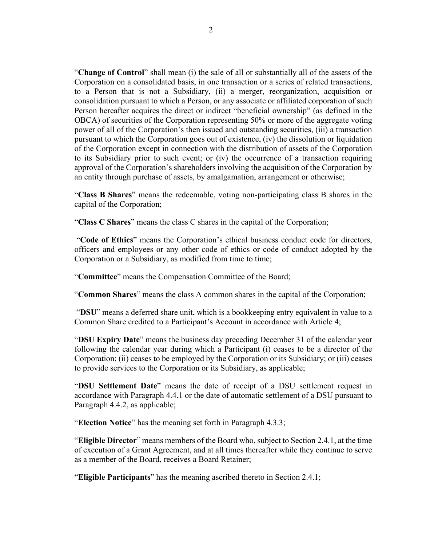"**Change of Control**" shall mean (i) the sale of all or substantially all of the assets of the Corporation on a consolidated basis, in one transaction or a series of related transactions, to a Person that is not a Subsidiary, (ii) a merger, reorganization, acquisition or consolidation pursuant to which a Person, or any associate or affiliated corporation of such Person hereafter acquires the direct or indirect "beneficial ownership" (as defined in the OBCA) of securities of the Corporation representing 50% or more of the aggregate voting power of all of the Corporation's then issued and outstanding securities, (iii) a transaction pursuant to which the Corporation goes out of existence, (iv) the dissolution or liquidation of the Corporation except in connection with the distribution of assets of the Corporation to its Subsidiary prior to such event; or (iv) the occurrence of a transaction requiring approval of the Corporation's shareholders involving the acquisition of the Corporation by an entity through purchase of assets, by amalgamation, arrangement or otherwise;

"**Class B Shares**" means the redeemable, voting non-participating class B shares in the capital of the Corporation;

"**Class C Shares**" means the class C shares in the capital of the Corporation;

 "**Code of Ethics**" means the Corporation's ethical business conduct code for directors, officers and employees or any other code of ethics or code of conduct adopted by the Corporation or a Subsidiary, as modified from time to time;

"**Committee**" means the Compensation Committee of the Board;

"**Common Shares**" means the class A common shares in the capital of the Corporation;

 "**DSU**" means a deferred share unit, which is a bookkeeping entry equivalent in value to a Common Share credited to a Participant's Account in accordance with Article 4;

"**DSU Expiry Date**" means the business day preceding December 31 of the calendar year following the calendar year during which a Participant (i) ceases to be a director of the Corporation; (ii) ceases to be employed by the Corporation or its Subsidiary; or (iii) ceases to provide services to the Corporation or its Subsidiary, as applicable;

"**DSU Settlement Date**" means the date of receipt of a DSU settlement request in accordance with Paragraph 4.4.1 or the date of automatic settlement of a DSU pursuant to Paragraph 4.4.2, as applicable;

"**Election Notice**" has the meaning set forth in Paragraph 4.3.3;

"**Eligible Director**" means members of the Board who, subject to Section 2.4.1, at the time of execution of a Grant Agreement, and at all times thereafter while they continue to serve as a member of the Board, receives a Board Retainer;

"**Eligible Participants**" has the meaning ascribed thereto in Section 2.4.1;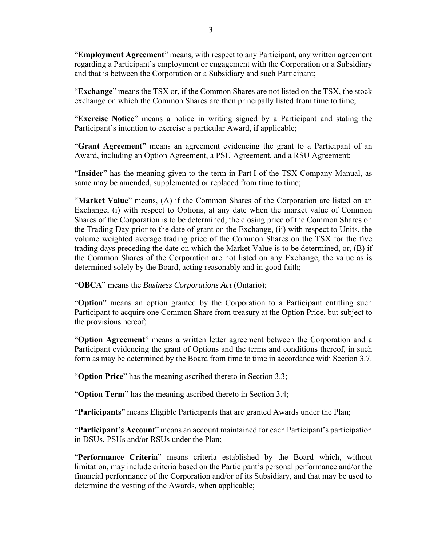"**Employment Agreement**" means, with respect to any Participant, any written agreement regarding a Participant's employment or engagement with the Corporation or a Subsidiary and that is between the Corporation or a Subsidiary and such Participant;

"**Exchange**" means the TSX or, if the Common Shares are not listed on the TSX, the stock exchange on which the Common Shares are then principally listed from time to time;

"**Exercise Notice**" means a notice in writing signed by a Participant and stating the Participant's intention to exercise a particular Award, if applicable;

"**Grant Agreement**" means an agreement evidencing the grant to a Participant of an Award, including an Option Agreement, a PSU Agreement, and a RSU Agreement;

"**Insider**" has the meaning given to the term in Part I of the TSX Company Manual, as same may be amended, supplemented or replaced from time to time;

"**Market Value**" means, (A) if the Common Shares of the Corporation are listed on an Exchange, (i) with respect to Options, at any date when the market value of Common Shares of the Corporation is to be determined, the closing price of the Common Shares on the Trading Day prior to the date of grant on the Exchange, (ii) with respect to Units, the volume weighted average trading price of the Common Shares on the TSX for the five trading days preceding the date on which the Market Value is to be determined, or, (B) if the Common Shares of the Corporation are not listed on any Exchange, the value as is determined solely by the Board, acting reasonably and in good faith;

"**OBCA**" means the *Business Corporations Act* (Ontario);

"**Option**" means an option granted by the Corporation to a Participant entitling such Participant to acquire one Common Share from treasury at the Option Price, but subject to the provisions hereof;

"**Option Agreement**" means a written letter agreement between the Corporation and a Participant evidencing the grant of Options and the terms and conditions thereof, in such form as may be determined by the Board from time to time in accordance with Section 3.7.

"**Option Price**" has the meaning ascribed thereto in Section 3.3;

"**Option Term**" has the meaning ascribed thereto in Section 3.4;

"**Participants**" means Eligible Participants that are granted Awards under the Plan;

"**Participant's Account**" means an account maintained for each Participant's participation in DSUs, PSUs and/or RSUs under the Plan;

"**Performance Criteria**" means criteria established by the Board which, without limitation, may include criteria based on the Participant's personal performance and/or the financial performance of the Corporation and/or of its Subsidiary, and that may be used to determine the vesting of the Awards, when applicable;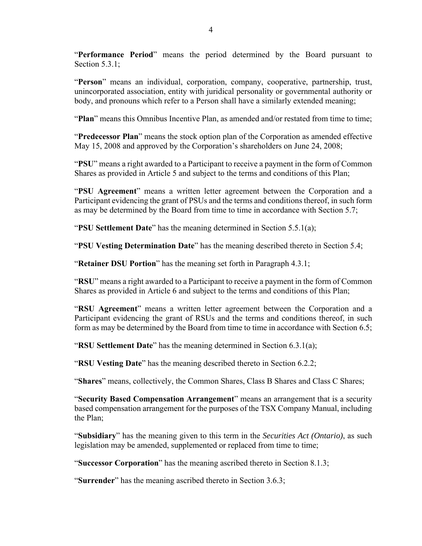"**Performance Period**" means the period determined by the Board pursuant to Section  $5.3.1$ ;

"**Person**" means an individual, corporation, company, cooperative, partnership, trust, unincorporated association, entity with juridical personality or governmental authority or body, and pronouns which refer to a Person shall have a similarly extended meaning;

"**Plan**" means this Omnibus Incentive Plan, as amended and/or restated from time to time;

"**Predecessor Plan**" means the stock option plan of the Corporation as amended effective May 15, 2008 and approved by the Corporation's shareholders on June 24, 2008;

"**PSU**" means a right awarded to a Participant to receive a payment in the form of Common Shares as provided in Article 5 and subject to the terms and conditions of this Plan;

"**PSU Agreement**" means a written letter agreement between the Corporation and a Participant evidencing the grant of PSUs and the terms and conditions thereof, in such form as may be determined by the Board from time to time in accordance with Section 5.7;

"**PSU Settlement Date**" has the meaning determined in Section 5.5.1(a);

"**PSU Vesting Determination Date**" has the meaning described thereto in Section 5.4;

"**Retainer DSU Portion**" has the meaning set forth in Paragraph 4.3.1;

"**RSU**" means a right awarded to a Participant to receive a payment in the form of Common Shares as provided in Article 6 and subject to the terms and conditions of this Plan;

"**RSU Agreement**" means a written letter agreement between the Corporation and a Participant evidencing the grant of RSUs and the terms and conditions thereof, in such form as may be determined by the Board from time to time in accordance with Section 6.5;

"**RSU Settlement Date**" has the meaning determined in Section 6.3.1(a);

"**RSU Vesting Date**" has the meaning described thereto in Section 6.2.2;

"**Shares**" means, collectively, the Common Shares, Class B Shares and Class C Shares;

"**Security Based Compensation Arrangement**" means an arrangement that is a security based compensation arrangement for the purposes of the TSX Company Manual, including the Plan;

"**Subsidiary**" has the meaning given to this term in the *Securities Act (Ontario)*, as such legislation may be amended, supplemented or replaced from time to time;

"**Successor Corporation**" has the meaning ascribed thereto in Section 8.1.3;

"**Surrender**" has the meaning ascribed thereto in Section 3.6.3;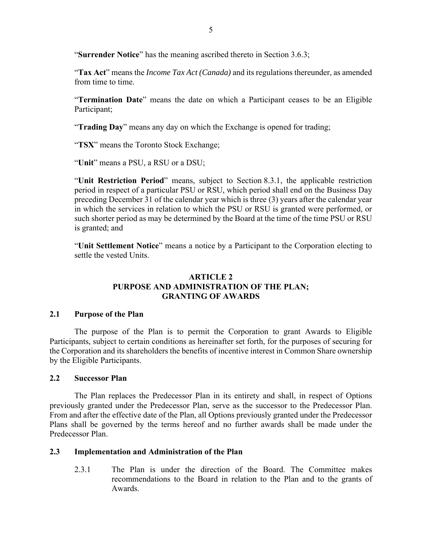"**Surrender Notice**" has the meaning ascribed thereto in Section 3.6.3;

"**Tax Act**" means the *Income Tax Act (Canada)* and its regulations thereunder, as amended from time to time.

"**Termination Date**" means the date on which a Participant ceases to be an Eligible Participant;

"**Trading Day**" means any day on which the Exchange is opened for trading;

"**TSX**" means the Toronto Stock Exchange;

"**Unit**" means a PSU, a RSU or a DSU;

"**Unit Restriction Period**" means, subject to Section 8.3.1, the applicable restriction period in respect of a particular PSU or RSU, which period shall end on the Business Day preceding December 31 of the calendar year which is three (3) years after the calendar year in which the services in relation to which the PSU or RSU is granted were performed, or such shorter period as may be determined by the Board at the time of the time PSU or RSU is granted; and

"**Unit Settlement Notice**" means a notice by a Participant to the Corporation electing to settle the vested Units.

# **ARTICLE 2 PURPOSE AND ADMINISTRATION OF THE PLAN; GRANTING OF AWARDS**

# **2.1 Purpose of the Plan**

The purpose of the Plan is to permit the Corporation to grant Awards to Eligible Participants, subject to certain conditions as hereinafter set forth, for the purposes of securing for the Corporation and its shareholders the benefits of incentive interest in Common Share ownership by the Eligible Participants.

# **2.2 Successor Plan**

The Plan replaces the Predecessor Plan in its entirety and shall, in respect of Options previously granted under the Predecessor Plan, serve as the successor to the Predecessor Plan. From and after the effective date of the Plan, all Options previously granted under the Predecessor Plans shall be governed by the terms hereof and no further awards shall be made under the Predecessor Plan.

# **2.3 Implementation and Administration of the Plan**

2.3.1 The Plan is under the direction of the Board. The Committee makes recommendations to the Board in relation to the Plan and to the grants of Awards.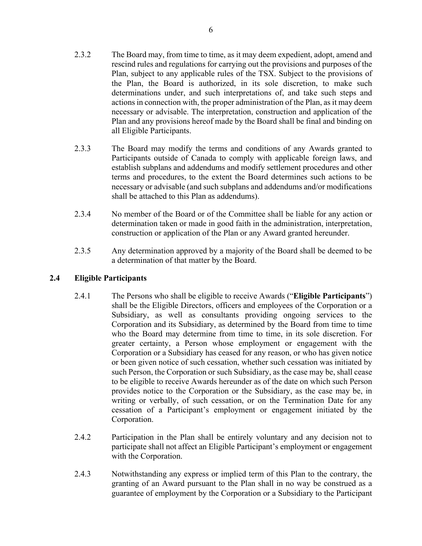- rescind rules and regulations for carrying out the provisions and purposes of the Plan, subject to any applicable rules of the TSX. Subject to the provisions of the Plan, the Board is authorized, in its sole discretion, to make such determinations under, and such interpretations of, and take such steps and actions in connection with, the proper administration of the Plan, as it may deem necessary or advisable. The interpretation, construction and application of the Plan and any provisions hereof made by the Board shall be final and binding on all Eligible Participants.
- 2.3.3 The Board may modify the terms and conditions of any Awards granted to Participants outside of Canada to comply with applicable foreign laws, and establish subplans and addendums and modify settlement procedures and other terms and procedures, to the extent the Board determines such actions to be necessary or advisable (and such subplans and addendums and/or modifications shall be attached to this Plan as addendums).
- 2.3.4 No member of the Board or of the Committee shall be liable for any action or determination taken or made in good faith in the administration, interpretation, construction or application of the Plan or any Award granted hereunder.
- 2.3.5 Any determination approved by a majority of the Board shall be deemed to be a determination of that matter by the Board.

# **2.4 Eligible Participants**

- 2.4.1 The Persons who shall be eligible to receive Awards ("**Eligible Participants**") shall be the Eligible Directors, officers and employees of the Corporation or a Subsidiary, as well as consultants providing ongoing services to the Corporation and its Subsidiary, as determined by the Board from time to time who the Board may determine from time to time, in its sole discretion. For greater certainty, a Person whose employment or engagement with the Corporation or a Subsidiary has ceased for any reason, or who has given notice or been given notice of such cessation, whether such cessation was initiated by such Person, the Corporation or such Subsidiary, as the case may be, shall cease to be eligible to receive Awards hereunder as of the date on which such Person provides notice to the Corporation or the Subsidiary, as the case may be, in writing or verbally, of such cessation, or on the Termination Date for any cessation of a Participant's employment or engagement initiated by the Corporation.
- 2.4.2 Participation in the Plan shall be entirely voluntary and any decision not to participate shall not affect an Eligible Participant's employment or engagement with the Corporation.
- 2.4.3 Notwithstanding any express or implied term of this Plan to the contrary, the granting of an Award pursuant to the Plan shall in no way be construed as a guarantee of employment by the Corporation or a Subsidiary to the Participant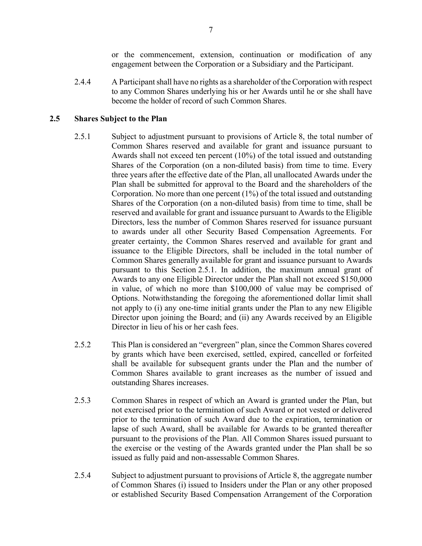or the commencement, extension, continuation or modification of any engagement between the Corporation or a Subsidiary and the Participant.

2.4.4 A Participant shall have no rights as a shareholder of the Corporation with respect to any Common Shares underlying his or her Awards until he or she shall have become the holder of record of such Common Shares.

# **2.5 Shares Subject to the Plan**

- 2.5.1 Subject to adjustment pursuant to provisions of Article 8, the total number of Common Shares reserved and available for grant and issuance pursuant to Awards shall not exceed ten percent (10%) of the total issued and outstanding Shares of the Corporation (on a non-diluted basis) from time to time. Every three years after the effective date of the Plan, all unallocated Awards under the Plan shall be submitted for approval to the Board and the shareholders of the Corporation. No more than one percent (1%) of the total issued and outstanding Shares of the Corporation (on a non-diluted basis) from time to time, shall be reserved and available for grant and issuance pursuant to Awards to the Eligible Directors, less the number of Common Shares reserved for issuance pursuant to awards under all other Security Based Compensation Agreements. For greater certainty, the Common Shares reserved and available for grant and issuance to the Eligible Directors, shall be included in the total number of Common Shares generally available for grant and issuance pursuant to Awards pursuant to this Section 2.5.1. In addition, the maximum annual grant of Awards to any one Eligible Director under the Plan shall not exceed \$150,000 in value, of which no more than \$100,000 of value may be comprised of Options. Notwithstanding the foregoing the aforementioned dollar limit shall not apply to (i) any one-time initial grants under the Plan to any new Eligible Director upon joining the Board; and (ii) any Awards received by an Eligible Director in lieu of his or her cash fees.
- 2.5.2 This Plan is considered an "evergreen" plan, since the Common Shares covered by grants which have been exercised, settled, expired, cancelled or forfeited shall be available for subsequent grants under the Plan and the number of Common Shares available to grant increases as the number of issued and outstanding Shares increases.
- 2.5.3 Common Shares in respect of which an Award is granted under the Plan, but not exercised prior to the termination of such Award or not vested or delivered prior to the termination of such Award due to the expiration, termination or lapse of such Award, shall be available for Awards to be granted thereafter pursuant to the provisions of the Plan. All Common Shares issued pursuant to the exercise or the vesting of the Awards granted under the Plan shall be so issued as fully paid and non-assessable Common Shares.
- 2.5.4 Subject to adjustment pursuant to provisions of Article 8, the aggregate number of Common Shares (i) issued to Insiders under the Plan or any other proposed or established Security Based Compensation Arrangement of the Corporation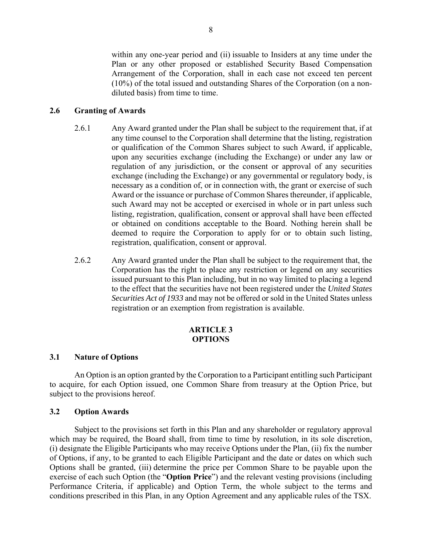within any one-year period and (ii) issuable to Insiders at any time under the Plan or any other proposed or established Security Based Compensation Arrangement of the Corporation, shall in each case not exceed ten percent (10%) of the total issued and outstanding Shares of the Corporation (on a nondiluted basis) from time to time.

# **2.6 Granting of Awards**

- 2.6.1 Any Award granted under the Plan shall be subject to the requirement that, if at any time counsel to the Corporation shall determine that the listing, registration or qualification of the Common Shares subject to such Award, if applicable, upon any securities exchange (including the Exchange) or under any law or regulation of any jurisdiction, or the consent or approval of any securities exchange (including the Exchange) or any governmental or regulatory body, is necessary as a condition of, or in connection with, the grant or exercise of such Award or the issuance or purchase of Common Shares thereunder, if applicable, such Award may not be accepted or exercised in whole or in part unless such listing, registration, qualification, consent or approval shall have been effected or obtained on conditions acceptable to the Board. Nothing herein shall be deemed to require the Corporation to apply for or to obtain such listing, registration, qualification, consent or approval.
- 2.6.2 Any Award granted under the Plan shall be subject to the requirement that, the Corporation has the right to place any restriction or legend on any securities issued pursuant to this Plan including, but in no way limited to placing a legend to the effect that the securities have not been registered under the *United States Securities Act of 1933* and may not be offered or sold in the United States unless registration or an exemption from registration is available.

### **ARTICLE 3 OPTIONS**

# **3.1 Nature of Options**

An Option is an option granted by the Corporation to a Participant entitling such Participant to acquire, for each Option issued, one Common Share from treasury at the Option Price, but subject to the provisions hereof.

### **3.2 Option Awards**

Subject to the provisions set forth in this Plan and any shareholder or regulatory approval which may be required, the Board shall, from time to time by resolution, in its sole discretion, (i) designate the Eligible Participants who may receive Options under the Plan, (ii) fix the number of Options, if any, to be granted to each Eligible Participant and the date or dates on which such Options shall be granted, (iii) determine the price per Common Share to be payable upon the exercise of each such Option (the "**Option Price**") and the relevant vesting provisions (including Performance Criteria, if applicable) and Option Term, the whole subject to the terms and conditions prescribed in this Plan, in any Option Agreement and any applicable rules of the TSX.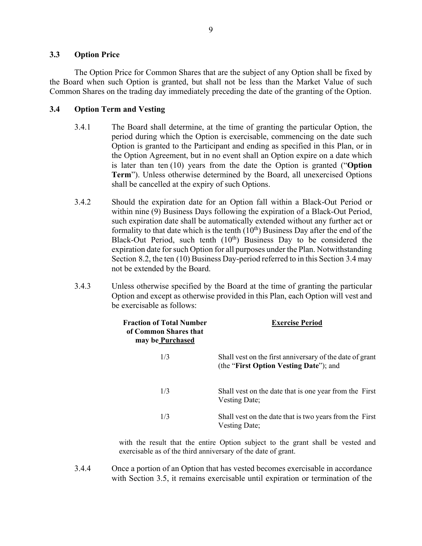# **3.3 Option Price**

The Option Price for Common Shares that are the subject of any Option shall be fixed by the Board when such Option is granted, but shall not be less than the Market Value of such Common Shares on the trading day immediately preceding the date of the granting of the Option.

# **3.4 Option Term and Vesting**

- 3.4.1 The Board shall determine, at the time of granting the particular Option, the period during which the Option is exercisable, commencing on the date such Option is granted to the Participant and ending as specified in this Plan, or in the Option Agreement, but in no event shall an Option expire on a date which is later than ten (10) years from the date the Option is granted ("**Option Term**"). Unless otherwise determined by the Board, all unexercised Options shall be cancelled at the expiry of such Options.
- 3.4.2 Should the expiration date for an Option fall within a Black-Out Period or within nine (9) Business Days following the expiration of a Black-Out Period, such expiration date shall be automatically extended without any further act or formality to that date which is the tenth  $(10<sup>th</sup>)$  Business Day after the end of the Black-Out Period, such tenth  $(10<sup>th</sup>)$  Business Day to be considered the expiration date for such Option for all purposes under the Plan. Notwithstanding Section 8.2, the ten (10) Business Day-period referred to in this Section 3.4 may not be extended by the Board.
- 3.4.3 Unless otherwise specified by the Board at the time of granting the particular Option and except as otherwise provided in this Plan, each Option will vest and be exercisable as follows:

| <b>Fraction of Total Number</b><br>of Common Shares that<br>may be Purchased | <b>Exercise Period</b>                                                                             |  |
|------------------------------------------------------------------------------|----------------------------------------------------------------------------------------------------|--|
| 1/3                                                                          | Shall vest on the first anniversary of the date of grant<br>(the "First Option Vesting Date"); and |  |
| 1/3                                                                          | Shall vest on the date that is one year from the First<br>Vesting Date;                            |  |
| 1/3                                                                          | Shall vest on the date that is two years from the First<br>Vesting Date;                           |  |

with the result that the entire Option subject to the grant shall be vested and exercisable as of the third anniversary of the date of grant.

3.4.4 Once a portion of an Option that has vested becomes exercisable in accordance with Section 3.5, it remains exercisable until expiration or termination of the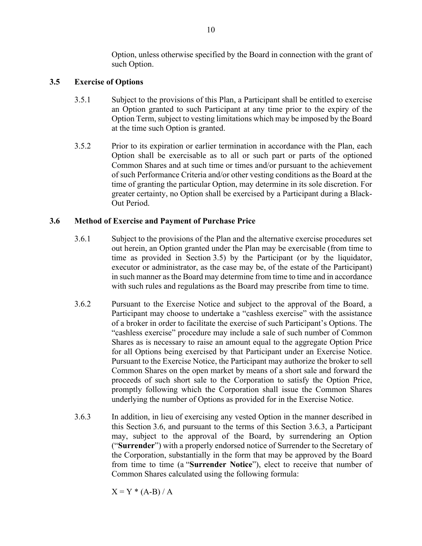Option, unless otherwise specified by the Board in connection with the grant of such Option.

# **3.5 Exercise of Options**

- 3.5.1 Subject to the provisions of this Plan, a Participant shall be entitled to exercise an Option granted to such Participant at any time prior to the expiry of the Option Term, subject to vesting limitations which may be imposed by the Board at the time such Option is granted.
- 3.5.2 Prior to its expiration or earlier termination in accordance with the Plan, each Option shall be exercisable as to all or such part or parts of the optioned Common Shares and at such time or times and/or pursuant to the achievement of such Performance Criteria and/or other vesting conditions as the Board at the time of granting the particular Option, may determine in its sole discretion. For greater certainty, no Option shall be exercised by a Participant during a Black-Out Period.

# **3.6 Method of Exercise and Payment of Purchase Price**

- 3.6.1 Subject to the provisions of the Plan and the alternative exercise procedures set out herein, an Option granted under the Plan may be exercisable (from time to time as provided in Section 3.5) by the Participant (or by the liquidator, executor or administrator, as the case may be, of the estate of the Participant) in such manner as the Board may determine from time to time and in accordance with such rules and regulations as the Board may prescribe from time to time.
- 3.6.2 Pursuant to the Exercise Notice and subject to the approval of the Board, a Participant may choose to undertake a "cashless exercise" with the assistance of a broker in order to facilitate the exercise of such Participant's Options. The "cashless exercise" procedure may include a sale of such number of Common Shares as is necessary to raise an amount equal to the aggregate Option Price for all Options being exercised by that Participant under an Exercise Notice. Pursuant to the Exercise Notice, the Participant may authorize the broker to sell Common Shares on the open market by means of a short sale and forward the proceeds of such short sale to the Corporation to satisfy the Option Price, promptly following which the Corporation shall issue the Common Shares underlying the number of Options as provided for in the Exercise Notice.
- 3.6.3 In addition, in lieu of exercising any vested Option in the manner described in this Section 3.6, and pursuant to the terms of this Section 3.6.3, a Participant may, subject to the approval of the Board, by surrendering an Option ("**Surrender**") with a properly endorsed notice of Surrender to the Secretary of the Corporation, substantially in the form that may be approved by the Board from time to time (a "**Surrender Notice**"), elect to receive that number of Common Shares calculated using the following formula:

 $X = Y * (A-B) / A$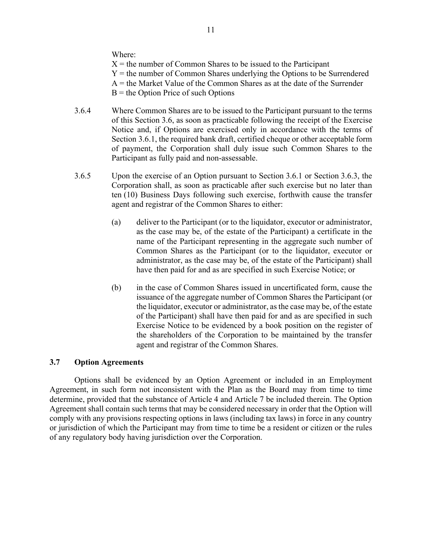Where:

 $X =$  the number of Common Shares to be issued to the Participant Y = the number of Common Shares underlying the Options to be Surrendered  $A =$  the Market Value of the Common Shares as at the date of the Surrender  $B =$  the Option Price of such Options

- 3.6.4 Where Common Shares are to be issued to the Participant pursuant to the terms of this Section 3.6, as soon as practicable following the receipt of the Exercise Notice and, if Options are exercised only in accordance with the terms of Section 3.6.1, the required bank draft, certified cheque or other acceptable form of payment, the Corporation shall duly issue such Common Shares to the Participant as fully paid and non-assessable.
- 3.6.5 Upon the exercise of an Option pursuant to Section 3.6.1 or Section 3.6.3, the Corporation shall, as soon as practicable after such exercise but no later than ten (10) Business Days following such exercise, forthwith cause the transfer agent and registrar of the Common Shares to either:
	- (a) deliver to the Participant (or to the liquidator, executor or administrator, as the case may be, of the estate of the Participant) a certificate in the name of the Participant representing in the aggregate such number of Common Shares as the Participant (or to the liquidator, executor or administrator, as the case may be, of the estate of the Participant) shall have then paid for and as are specified in such Exercise Notice; or
	- (b) in the case of Common Shares issued in uncertificated form, cause the issuance of the aggregate number of Common Shares the Participant (or the liquidator, executor or administrator, as the case may be, of the estate of the Participant) shall have then paid for and as are specified in such Exercise Notice to be evidenced by a book position on the register of the shareholders of the Corporation to be maintained by the transfer agent and registrar of the Common Shares.

# **3.7 Option Agreements**

Options shall be evidenced by an Option Agreement or included in an Employment Agreement, in such form not inconsistent with the Plan as the Board may from time to time determine, provided that the substance of Article 4 and Article 7 be included therein. The Option Agreement shall contain such terms that may be considered necessary in order that the Option will comply with any provisions respecting options in laws (including tax laws) in force in any country or jurisdiction of which the Participant may from time to time be a resident or citizen or the rules of any regulatory body having jurisdiction over the Corporation.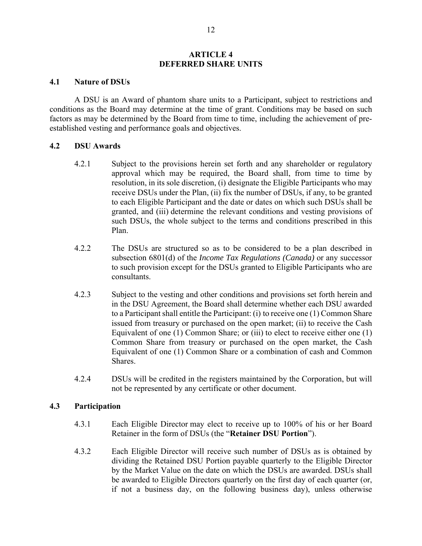### **ARTICLE 4 DEFERRED SHARE UNITS**

### **4.1 Nature of DSUs**

A DSU is an Award of phantom share units to a Participant, subject to restrictions and conditions as the Board may determine at the time of grant. Conditions may be based on such factors as may be determined by the Board from time to time, including the achievement of preestablished vesting and performance goals and objectives.

### **4.2 DSU Awards**

- 4.2.1 Subject to the provisions herein set forth and any shareholder or regulatory approval which may be required, the Board shall, from time to time by resolution, in its sole discretion, (i) designate the Eligible Participants who may receive DSUs under the Plan, (ii) fix the number of DSUs, if any, to be granted to each Eligible Participant and the date or dates on which such DSUs shall be granted, and (iii) determine the relevant conditions and vesting provisions of such DSUs, the whole subject to the terms and conditions prescribed in this Plan.
- 4.2.2 The DSUs are structured so as to be considered to be a plan described in subsection 6801(d) of the *Income Tax Regulations (Canada)* or any successor to such provision except for the DSUs granted to Eligible Participants who are consultants.
- 4.2.3 Subject to the vesting and other conditions and provisions set forth herein and in the DSU Agreement, the Board shall determine whether each DSU awarded to a Participant shall entitle the Participant: (i) to receive one (1) Common Share issued from treasury or purchased on the open market; (ii) to receive the Cash Equivalent of one (1) Common Share; or (iii) to elect to receive either one (1) Common Share from treasury or purchased on the open market, the Cash Equivalent of one (1) Common Share or a combination of cash and Common Shares.
- 4.2.4 DSUs will be credited in the registers maintained by the Corporation, but will not be represented by any certificate or other document.

# **4.3 Participation**

- 4.3.1 Each Eligible Director may elect to receive up to 100% of his or her Board Retainer in the form of DSUs (the "**Retainer DSU Portion**").
- 4.3.2 Each Eligible Director will receive such number of DSUs as is obtained by dividing the Retained DSU Portion payable quarterly to the Eligible Director by the Market Value on the date on which the DSUs are awarded. DSUs shall be awarded to Eligible Directors quarterly on the first day of each quarter (or, if not a business day, on the following business day), unless otherwise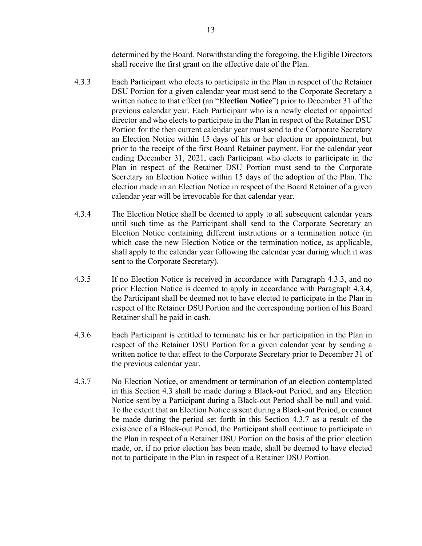determined by the Board. Notwithstanding the foregoing, the Eligible Directors shall receive the first grant on the effective date of the Plan.

- 4.3.3 Each Participant who elects to participate in the Plan in respect of the Retainer DSU Portion for a given calendar year must send to the Corporate Secretary a written notice to that effect (an "**Election Notice**") prior to December 31 of the previous calendar year. Each Participant who is a newly elected or appointed director and who elects to participate in the Plan in respect of the Retainer DSU Portion for the then current calendar year must send to the Corporate Secretary an Election Notice within 15 days of his or her election or appointment, but prior to the receipt of the first Board Retainer payment. For the calendar year ending December 31, 2021, each Participant who elects to participate in the Plan in respect of the Retainer DSU Portion must send to the Corporate Secretary an Election Notice within 15 days of the adoption of the Plan. The election made in an Election Notice in respect of the Board Retainer of a given calendar year will be irrevocable for that calendar year.
- 4.3.4 The Election Notice shall be deemed to apply to all subsequent calendar years until such time as the Participant shall send to the Corporate Secretary an Election Notice containing different instructions or a termination notice (in which case the new Election Notice or the termination notice, as applicable, shall apply to the calendar year following the calendar year during which it was sent to the Corporate Secretary).
- 4.3.5 If no Election Notice is received in accordance with Paragraph 4.3.3, and no prior Election Notice is deemed to apply in accordance with Paragraph 4.3.4, the Participant shall be deemed not to have elected to participate in the Plan in respect of the Retainer DSU Portion and the corresponding portion of his Board Retainer shall be paid in cash.
- 4.3.6 Each Participant is entitled to terminate his or her participation in the Plan in respect of the Retainer DSU Portion for a given calendar year by sending a written notice to that effect to the Corporate Secretary prior to December 31 of the previous calendar year.
- 4.3.7 No Election Notice, or amendment or termination of an election contemplated in this Section 4.3 shall be made during a Black-out Period, and any Election Notice sent by a Participant during a Black-out Period shall be null and void. To the extent that an Election Notice is sent during a Black-out Period, or cannot be made during the period set forth in this Section 4.3.7 as a result of the existence of a Black-out Period, the Participant shall continue to participate in the Plan in respect of a Retainer DSU Portion on the basis of the prior election made, or, if no prior election has been made, shall be deemed to have elected not to participate in the Plan in respect of a Retainer DSU Portion.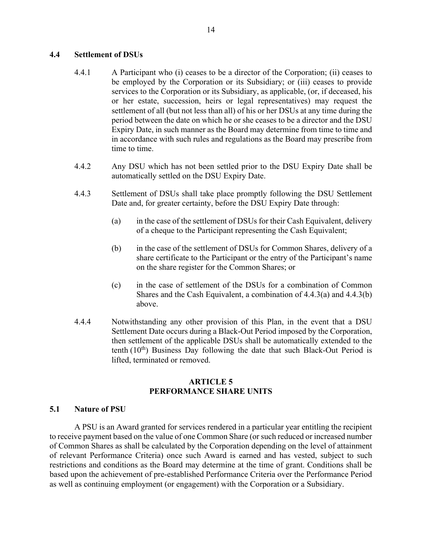# **4.4 Settlement of DSUs**

- 4.4.1 A Participant who (i) ceases to be a director of the Corporation; (ii) ceases to be employed by the Corporation or its Subsidiary; or (iii) ceases to provide services to the Corporation or its Subsidiary, as applicable, (or, if deceased, his or her estate, succession, heirs or legal representatives) may request the settlement of all (but not less than all) of his or her DSUs at any time during the period between the date on which he or she ceases to be a director and the DSU Expiry Date, in such manner as the Board may determine from time to time and in accordance with such rules and regulations as the Board may prescribe from time to time.
- 4.4.2 Any DSU which has not been settled prior to the DSU Expiry Date shall be automatically settled on the DSU Expiry Date.
- 4.4.3 Settlement of DSUs shall take place promptly following the DSU Settlement Date and, for greater certainty, before the DSU Expiry Date through:
	- (a) in the case of the settlement of DSUs for their Cash Equivalent, delivery of a cheque to the Participant representing the Cash Equivalent;
	- (b) in the case of the settlement of DSUs for Common Shares, delivery of a share certificate to the Participant or the entry of the Participant's name on the share register for the Common Shares; or
	- (c) in the case of settlement of the DSUs for a combination of Common Shares and the Cash Equivalent, a combination of 4.4.3(a) and 4.4.3(b) above.
- 4.4.4 Notwithstanding any other provision of this Plan, in the event that a DSU Settlement Date occurs during a Black-Out Period imposed by the Corporation, then settlement of the applicable DSUs shall be automatically extended to the tenth  $(10<sup>th</sup>)$  Business Day following the date that such Black-Out Period is lifted, terminated or removed.

# **ARTICLE 5 PERFORMANCE SHARE UNITS**

### **5.1 Nature of PSU**

A PSU is an Award granted for services rendered in a particular year entitling the recipient to receive payment based on the value of one Common Share (or such reduced or increased number of Common Shares as shall be calculated by the Corporation depending on the level of attainment of relevant Performance Criteria) once such Award is earned and has vested, subject to such restrictions and conditions as the Board may determine at the time of grant. Conditions shall be based upon the achievement of pre-established Performance Criteria over the Performance Period as well as continuing employment (or engagement) with the Corporation or a Subsidiary.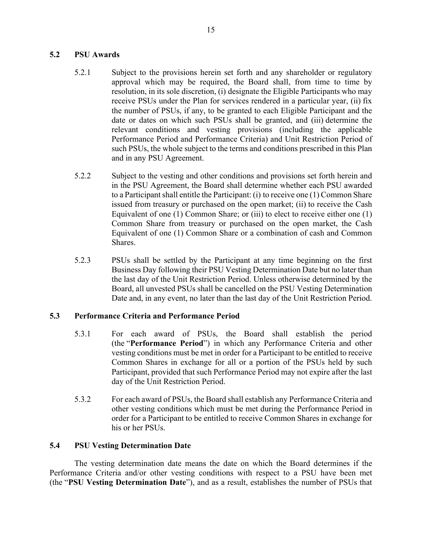# **5.2 PSU Awards**

- 5.2.1 Subject to the provisions herein set forth and any shareholder or regulatory approval which may be required, the Board shall, from time to time by resolution, in its sole discretion, (i) designate the Eligible Participants who may receive PSUs under the Plan for services rendered in a particular year, (ii) fix the number of PSUs, if any, to be granted to each Eligible Participant and the date or dates on which such PSUs shall be granted, and (iii) determine the relevant conditions and vesting provisions (including the applicable Performance Period and Performance Criteria) and Unit Restriction Period of such PSUs, the whole subject to the terms and conditions prescribed in this Plan and in any PSU Agreement.
- 5.2.2 Subject to the vesting and other conditions and provisions set forth herein and in the PSU Agreement, the Board shall determine whether each PSU awarded to a Participant shall entitle the Participant: (i) to receive one (1) Common Share issued from treasury or purchased on the open market; (ii) to receive the Cash Equivalent of one (1) Common Share; or (iii) to elect to receive either one (1) Common Share from treasury or purchased on the open market, the Cash Equivalent of one (1) Common Share or a combination of cash and Common Shares.
- 5.2.3 PSUs shall be settled by the Participant at any time beginning on the first Business Day following their PSU Vesting Determination Date but no later than the last day of the Unit Restriction Period. Unless otherwise determined by the Board, all unvested PSUs shall be cancelled on the PSU Vesting Determination Date and, in any event, no later than the last day of the Unit Restriction Period.

# **5.3 Performance Criteria and Performance Period**

- 5.3.1 For each award of PSUs, the Board shall establish the period (the "**Performance Period**") in which any Performance Criteria and other vesting conditions must be met in order for a Participant to be entitled to receive Common Shares in exchange for all or a portion of the PSUs held by such Participant, provided that such Performance Period may not expire after the last day of the Unit Restriction Period.
- 5.3.2 For each award of PSUs, the Board shall establish any Performance Criteria and other vesting conditions which must be met during the Performance Period in order for a Participant to be entitled to receive Common Shares in exchange for his or her PSUs.

# **5.4 PSU Vesting Determination Date**

The vesting determination date means the date on which the Board determines if the Performance Criteria and/or other vesting conditions with respect to a PSU have been met (the "**PSU Vesting Determination Date**"), and as a result, establishes the number of PSUs that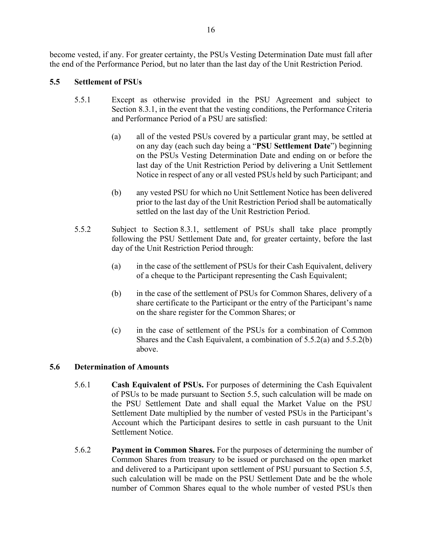become vested, if any. For greater certainty, the PSUs Vesting Determination Date must fall after the end of the Performance Period, but no later than the last day of the Unit Restriction Period.

# **5.5 Settlement of PSUs**

- 5.5.1 Except as otherwise provided in the PSU Agreement and subject to Section 8.3.1, in the event that the vesting conditions, the Performance Criteria and Performance Period of a PSU are satisfied:
	- (a) all of the vested PSUs covered by a particular grant may, be settled at on any day (each such day being a "**PSU Settlement Date**") beginning on the PSUs Vesting Determination Date and ending on or before the last day of the Unit Restriction Period by delivering a Unit Settlement Notice in respect of any or all vested PSUs held by such Participant; and
	- (b) any vested PSU for which no Unit Settlement Notice has been delivered prior to the last day of the Unit Restriction Period shall be automatically settled on the last day of the Unit Restriction Period.
- 5.5.2 Subject to Section 8.3.1, settlement of PSUs shall take place promptly following the PSU Settlement Date and, for greater certainty, before the last day of the Unit Restriction Period through:
	- (a) in the case of the settlement of PSUs for their Cash Equivalent, delivery of a cheque to the Participant representing the Cash Equivalent;
	- (b) in the case of the settlement of PSUs for Common Shares, delivery of a share certificate to the Participant or the entry of the Participant's name on the share register for the Common Shares; or
	- (c) in the case of settlement of the PSUs for a combination of Common Shares and the Cash Equivalent, a combination of 5.5.2(a) and 5.5.2(b) above.

# **5.6 Determination of Amounts**

- 5.6.1 **Cash Equivalent of PSUs.** For purposes of determining the Cash Equivalent of PSUs to be made pursuant to Section 5.5, such calculation will be made on the PSU Settlement Date and shall equal the Market Value on the PSU Settlement Date multiplied by the number of vested PSUs in the Participant's Account which the Participant desires to settle in cash pursuant to the Unit Settlement Notice.
- 5.6.2 **Payment in Common Shares.** For the purposes of determining the number of Common Shares from treasury to be issued or purchased on the open market and delivered to a Participant upon settlement of PSU pursuant to Section 5.5, such calculation will be made on the PSU Settlement Date and be the whole number of Common Shares equal to the whole number of vested PSUs then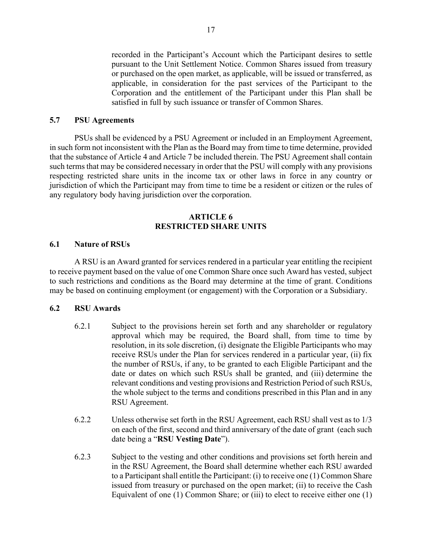recorded in the Participant's Account which the Participant desires to settle pursuant to the Unit Settlement Notice. Common Shares issued from treasury or purchased on the open market, as applicable, will be issued or transferred, as applicable, in consideration for the past services of the Participant to the Corporation and the entitlement of the Participant under this Plan shall be satisfied in full by such issuance or transfer of Common Shares.

# **5.7 PSU Agreements**

PSUs shall be evidenced by a PSU Agreement or included in an Employment Agreement, in such form not inconsistent with the Plan as the Board may from time to time determine, provided that the substance of Article 4 and Article 7 be included therein. The PSU Agreement shall contain such terms that may be considered necessary in order that the PSU will comply with any provisions respecting restricted share units in the income tax or other laws in force in any country or jurisdiction of which the Participant may from time to time be a resident or citizen or the rules of any regulatory body having jurisdiction over the corporation.

# **ARTICLE 6 RESTRICTED SHARE UNITS**

### **6.1 Nature of RSUs**

A RSU is an Award granted for services rendered in a particular year entitling the recipient to receive payment based on the value of one Common Share once such Award has vested, subject to such restrictions and conditions as the Board may determine at the time of grant. Conditions may be based on continuing employment (or engagement) with the Corporation or a Subsidiary.

### **6.2 RSU Awards**

- 6.2.1 Subject to the provisions herein set forth and any shareholder or regulatory approval which may be required, the Board shall, from time to time by resolution, in its sole discretion, (i) designate the Eligible Participants who may receive RSUs under the Plan for services rendered in a particular year, (ii) fix the number of RSUs, if any, to be granted to each Eligible Participant and the date or dates on which such RSUs shall be granted, and (iii) determine the relevant conditions and vesting provisions and Restriction Period of such RSUs, the whole subject to the terms and conditions prescribed in this Plan and in any RSU Agreement.
- 6.2.2 Unless otherwise set forth in the RSU Agreement, each RSU shall vest as to 1/3 on each of the first, second and third anniversary of the date of grant (each such date being a "**RSU Vesting Date**").
- 6.2.3 Subject to the vesting and other conditions and provisions set forth herein and in the RSU Agreement, the Board shall determine whether each RSU awarded to a Participant shall entitle the Participant: (i) to receive one (1) Common Share issued from treasury or purchased on the open market; (ii) to receive the Cash Equivalent of one (1) Common Share; or (iii) to elect to receive either one (1)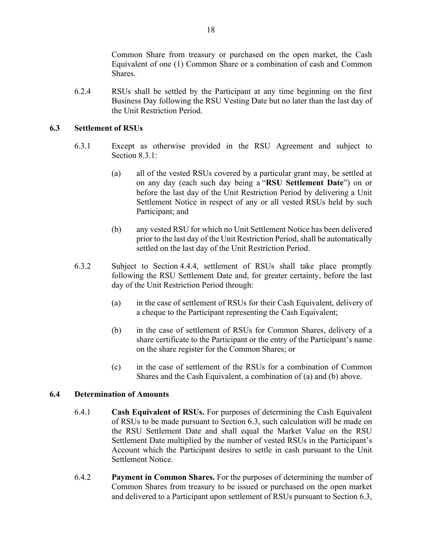Common Share from treasury or purchased on the open market, the Cash Equivalent of one (1) Common Share or a combination of cash and Common **Shares**.

6.2.4 RSUs shall be settled by the Participant at any time beginning on the first Business Day following the RSU Vesting Date but no later than the last day of the Unit Restriction Period.

# **6.3 Settlement of RSUs**

- 6.3.1 Except as otherwise provided in the RSU Agreement and subject to Section 8.3.1:
	- (a) all of the vested RSUs covered by a particular grant may, be settled at on any day (each such day being a "**RSU Settlement Date**") on or before the last day of the Unit Restriction Period by delivering a Unit Settlement Notice in respect of any or all vested RSUs held by such Participant; and
	- (b) any vested RSU for which no Unit Settlement Notice has been delivered prior to the last day of the Unit Restriction Period, shall be automatically settled on the last day of the Unit Restriction Period.
- 6.3.2 Subject to Section 4.4.4, settlement of RSUs shall take place promptly following the RSU Settlement Date and, for greater certainty, before the last day of the Unit Restriction Period through:
	- (a) in the case of settlement of RSUs for their Cash Equivalent, delivery of a cheque to the Participant representing the Cash Equivalent;
	- (b) in the case of settlement of RSUs for Common Shares, delivery of a share certificate to the Participant or the entry of the Participant's name on the share register for the Common Shares; or
	- (c) in the case of settlement of the RSUs for a combination of Common Shares and the Cash Equivalent, a combination of (a) and (b) above.

# **6.4 Determination of Amounts**

- 6.4.1 **Cash Equivalent of RSUs.** For purposes of determining the Cash Equivalent of RSUs to be made pursuant to Section 6.3, such calculation will be made on the RSU Settlement Date and shall equal the Market Value on the RSU Settlement Date multiplied by the number of vested RSUs in the Participant's Account which the Participant desires to settle in cash pursuant to the Unit Settlement Notice.
- 6.4.2 **Payment in Common Shares.** For the purposes of determining the number of Common Shares from treasury to be issued or purchased on the open market and delivered to a Participant upon settlement of RSUs pursuant to Section 6.3,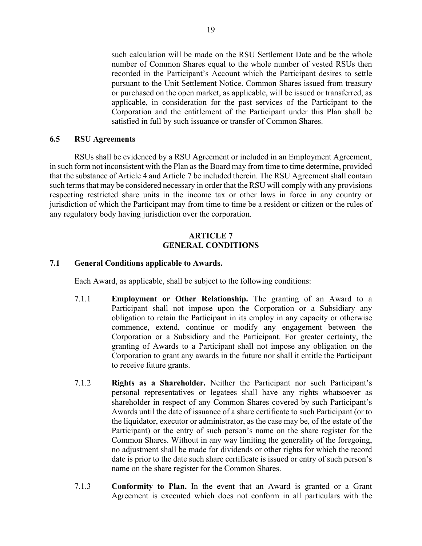such calculation will be made on the RSU Settlement Date and be the whole number of Common Shares equal to the whole number of vested RSUs then recorded in the Participant's Account which the Participant desires to settle pursuant to the Unit Settlement Notice. Common Shares issued from treasury or purchased on the open market, as applicable, will be issued or transferred, as applicable, in consideration for the past services of the Participant to the Corporation and the entitlement of the Participant under this Plan shall be satisfied in full by such issuance or transfer of Common Shares.

### **6.5 RSU Agreements**

RSUs shall be evidenced by a RSU Agreement or included in an Employment Agreement, in such form not inconsistent with the Plan as the Board may from time to time determine, provided that the substance of Article 4 and Article 7 be included therein. The RSU Agreement shall contain such terms that may be considered necessary in order that the RSU will comply with any provisions respecting restricted share units in the income tax or other laws in force in any country or jurisdiction of which the Participant may from time to time be a resident or citizen or the rules of any regulatory body having jurisdiction over the corporation.

# **ARTICLE 7 GENERAL CONDITIONS**

# **7.1 General Conditions applicable to Awards.**

Each Award, as applicable, shall be subject to the following conditions:

- 7.1.1 **Employment or Other Relationship.** The granting of an Award to a Participant shall not impose upon the Corporation or a Subsidiary any obligation to retain the Participant in its employ in any capacity or otherwise commence, extend, continue or modify any engagement between the Corporation or a Subsidiary and the Participant. For greater certainty, the granting of Awards to a Participant shall not impose any obligation on the Corporation to grant any awards in the future nor shall it entitle the Participant to receive future grants.
- 7.1.2 **Rights as a Shareholder.** Neither the Participant nor such Participant's personal representatives or legatees shall have any rights whatsoever as shareholder in respect of any Common Shares covered by such Participant's Awards until the date of issuance of a share certificate to such Participant (or to the liquidator, executor or administrator, as the case may be, of the estate of the Participant) or the entry of such person's name on the share register for the Common Shares. Without in any way limiting the generality of the foregoing, no adjustment shall be made for dividends or other rights for which the record date is prior to the date such share certificate is issued or entry of such person's name on the share register for the Common Shares.
- 7.1.3 **Conformity to Plan.** In the event that an Award is granted or a Grant Agreement is executed which does not conform in all particulars with the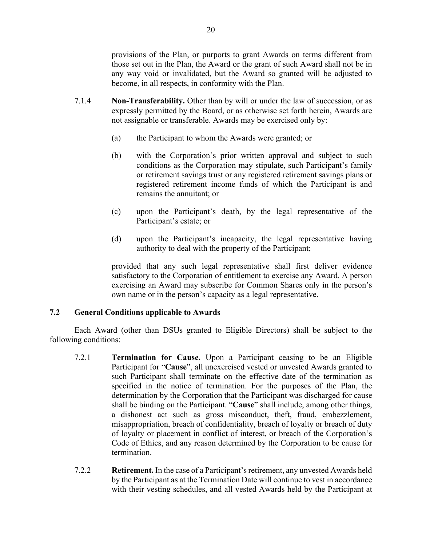provisions of the Plan, or purports to grant Awards on terms different from those set out in the Plan, the Award or the grant of such Award shall not be in any way void or invalidated, but the Award so granted will be adjusted to become, in all respects, in conformity with the Plan.

- 7.1.4 **Non-Transferability.** Other than by will or under the law of succession, or as expressly permitted by the Board, or as otherwise set forth herein, Awards are not assignable or transferable. Awards may be exercised only by:
	- (a) the Participant to whom the Awards were granted; or
	- (b) with the Corporation's prior written approval and subject to such conditions as the Corporation may stipulate, such Participant's family or retirement savings trust or any registered retirement savings plans or registered retirement income funds of which the Participant is and remains the annuitant; or
	- (c) upon the Participant's death, by the legal representative of the Participant's estate; or
	- (d) upon the Participant's incapacity, the legal representative having authority to deal with the property of the Participant;

provided that any such legal representative shall first deliver evidence satisfactory to the Corporation of entitlement to exercise any Award. A person exercising an Award may subscribe for Common Shares only in the person's own name or in the person's capacity as a legal representative.

# **7.2 General Conditions applicable to Awards**

Each Award (other than DSUs granted to Eligible Directors) shall be subject to the following conditions:

- 7.2.1 **Termination for Cause.** Upon a Participant ceasing to be an Eligible Participant for "**Cause**", all unexercised vested or unvested Awards granted to such Participant shall terminate on the effective date of the termination as specified in the notice of termination. For the purposes of the Plan, the determination by the Corporation that the Participant was discharged for cause shall be binding on the Participant. "**Cause**" shall include, among other things, a dishonest act such as gross misconduct, theft, fraud, embezzlement, misappropriation, breach of confidentiality, breach of loyalty or breach of duty of loyalty or placement in conflict of interest, or breach of the Corporation's Code of Ethics, and any reason determined by the Corporation to be cause for termination.
- 7.2.2 **Retirement.** In the case of a Participant's retirement, any unvested Awards held by the Participant as at the Termination Date will continue to vest in accordance with their vesting schedules, and all vested Awards held by the Participant at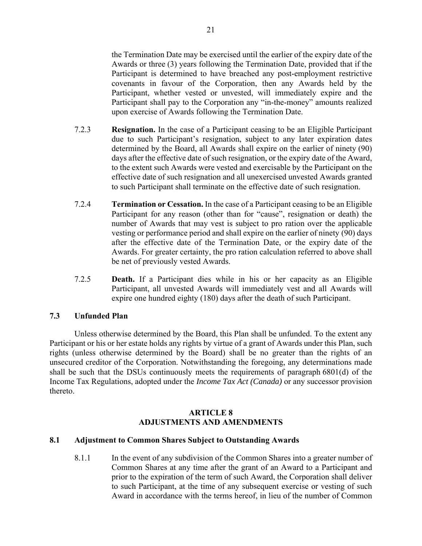the Termination Date may be exercised until the earlier of the expiry date of the Awards or three (3) years following the Termination Date, provided that if the Participant is determined to have breached any post-employment restrictive covenants in favour of the Corporation, then any Awards held by the Participant, whether vested or unvested, will immediately expire and the Participant shall pay to the Corporation any "in-the-money" amounts realized upon exercise of Awards following the Termination Date.

- 7.2.3 **Resignation.** In the case of a Participant ceasing to be an Eligible Participant due to such Participant's resignation, subject to any later expiration dates determined by the Board, all Awards shall expire on the earlier of ninety (90) days after the effective date of such resignation, or the expiry date of the Award, to the extent such Awards were vested and exercisable by the Participant on the effective date of such resignation and all unexercised unvested Awards granted to such Participant shall terminate on the effective date of such resignation.
- 7.2.4 **Termination or Cessation.** In the case of a Participant ceasing to be an Eligible Participant for any reason (other than for "cause", resignation or death) the number of Awards that may vest is subject to pro ration over the applicable vesting or performance period and shall expire on the earlier of ninety (90) days after the effective date of the Termination Date, or the expiry date of the Awards. For greater certainty, the pro ration calculation referred to above shall be net of previously vested Awards.
- 7.2.5 **Death.** If a Participant dies while in his or her capacity as an Eligible Participant, all unvested Awards will immediately vest and all Awards will expire one hundred eighty (180) days after the death of such Participant.

# **7.3 Unfunded Plan**

Unless otherwise determined by the Board, this Plan shall be unfunded. To the extent any Participant or his or her estate holds any rights by virtue of a grant of Awards under this Plan, such rights (unless otherwise determined by the Board) shall be no greater than the rights of an unsecured creditor of the Corporation. Notwithstanding the foregoing, any determinations made shall be such that the DSUs continuously meets the requirements of paragraph 6801(d) of the Income Tax Regulations, adopted under the *Income Tax Act (Canada)* or any successor provision thereto.

# **ARTICLE 8 ADJUSTMENTS AND AMENDMENTS**

# **8.1 Adjustment to Common Shares Subject to Outstanding Awards**

8.1.1 In the event of any subdivision of the Common Shares into a greater number of Common Shares at any time after the grant of an Award to a Participant and prior to the expiration of the term of such Award, the Corporation shall deliver to such Participant, at the time of any subsequent exercise or vesting of such Award in accordance with the terms hereof, in lieu of the number of Common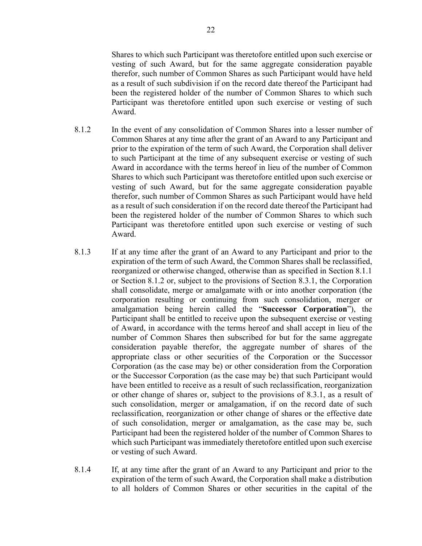Shares to which such Participant was theretofore entitled upon such exercise or vesting of such Award, but for the same aggregate consideration payable therefor, such number of Common Shares as such Participant would have held as a result of such subdivision if on the record date thereof the Participant had been the registered holder of the number of Common Shares to which such Participant was theretofore entitled upon such exercise or vesting of such Award.

- 8.1.2 In the event of any consolidation of Common Shares into a lesser number of Common Shares at any time after the grant of an Award to any Participant and prior to the expiration of the term of such Award, the Corporation shall deliver to such Participant at the time of any subsequent exercise or vesting of such Award in accordance with the terms hereof in lieu of the number of Common Shares to which such Participant was theretofore entitled upon such exercise or vesting of such Award, but for the same aggregate consideration payable therefor, such number of Common Shares as such Participant would have held as a result of such consideration if on the record date thereof the Participant had been the registered holder of the number of Common Shares to which such Participant was theretofore entitled upon such exercise or vesting of such Award.
- 8.1.3 If at any time after the grant of an Award to any Participant and prior to the expiration of the term of such Award, the Common Shares shall be reclassified, reorganized or otherwise changed, otherwise than as specified in Section 8.1.1 or Section 8.1.2 or, subject to the provisions of Section 8.3.1, the Corporation shall consolidate, merge or amalgamate with or into another corporation (the corporation resulting or continuing from such consolidation, merger or amalgamation being herein called the "**Successor Corporation**"), the Participant shall be entitled to receive upon the subsequent exercise or vesting of Award, in accordance with the terms hereof and shall accept in lieu of the number of Common Shares then subscribed for but for the same aggregate consideration payable therefor, the aggregate number of shares of the appropriate class or other securities of the Corporation or the Successor Corporation (as the case may be) or other consideration from the Corporation or the Successor Corporation (as the case may be) that such Participant would have been entitled to receive as a result of such reclassification, reorganization or other change of shares or, subject to the provisions of 8.3.1, as a result of such consolidation, merger or amalgamation, if on the record date of such reclassification, reorganization or other change of shares or the effective date of such consolidation, merger or amalgamation, as the case may be, such Participant had been the registered holder of the number of Common Shares to which such Participant was immediately theretofore entitled upon such exercise or vesting of such Award.
- 8.1.4 If, at any time after the grant of an Award to any Participant and prior to the expiration of the term of such Award, the Corporation shall make a distribution to all holders of Common Shares or other securities in the capital of the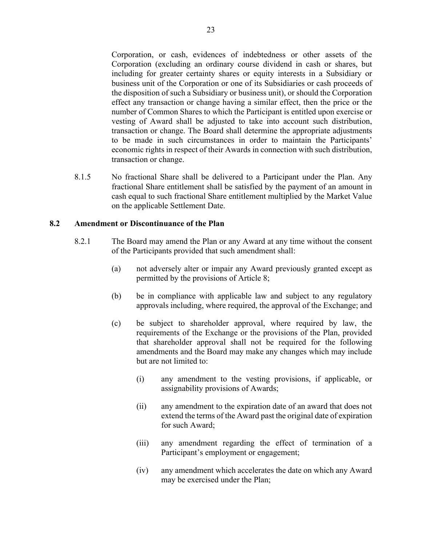Corporation, or cash, evidences of indebtedness or other assets of the Corporation (excluding an ordinary course dividend in cash or shares, but including for greater certainty shares or equity interests in a Subsidiary or business unit of the Corporation or one of its Subsidiaries or cash proceeds of the disposition of such a Subsidiary or business unit), or should the Corporation effect any transaction or change having a similar effect, then the price or the number of Common Shares to which the Participant is entitled upon exercise or vesting of Award shall be adjusted to take into account such distribution, transaction or change. The Board shall determine the appropriate adjustments to be made in such circumstances in order to maintain the Participants' economic rights in respect of their Awards in connection with such distribution, transaction or change.

8.1.5 No fractional Share shall be delivered to a Participant under the Plan. Any fractional Share entitlement shall be satisfied by the payment of an amount in cash equal to such fractional Share entitlement multiplied by the Market Value on the applicable Settlement Date.

# **8.2 Amendment or Discontinuance of the Plan**

- 8.2.1 The Board may amend the Plan or any Award at any time without the consent of the Participants provided that such amendment shall:
	- (a) not adversely alter or impair any Award previously granted except as permitted by the provisions of Article 8;
	- (b) be in compliance with applicable law and subject to any regulatory approvals including, where required, the approval of the Exchange; and
	- (c) be subject to shareholder approval, where required by law, the requirements of the Exchange or the provisions of the Plan, provided that shareholder approval shall not be required for the following amendments and the Board may make any changes which may include but are not limited to:
		- (i) any amendment to the vesting provisions, if applicable, or assignability provisions of Awards;
		- (ii) any amendment to the expiration date of an award that does not extend the terms of the Award past the original date of expiration for such Award;
		- (iii) any amendment regarding the effect of termination of a Participant's employment or engagement;
		- (iv) any amendment which accelerates the date on which any Award may be exercised under the Plan;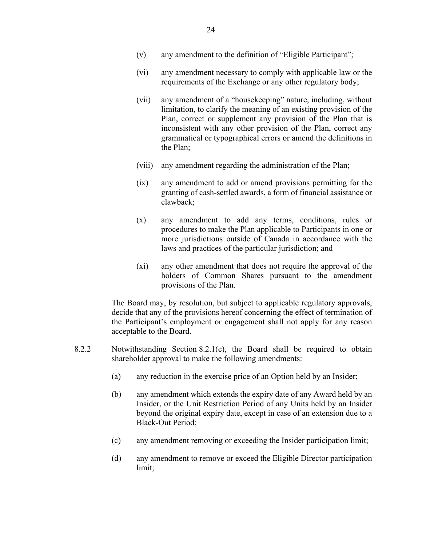- (vi) any amendment necessary to comply with applicable law or the requirements of the Exchange or any other regulatory body;
- (vii) any amendment of a "housekeeping" nature, including, without limitation, to clarify the meaning of an existing provision of the Plan, correct or supplement any provision of the Plan that is inconsistent with any other provision of the Plan, correct any grammatical or typographical errors or amend the definitions in the Plan;
- (viii) any amendment regarding the administration of the Plan;
- (ix) any amendment to add or amend provisions permitting for the granting of cash-settled awards, a form of financial assistance or clawback;
- (x) any amendment to add any terms, conditions, rules or procedures to make the Plan applicable to Participants in one or more jurisdictions outside of Canada in accordance with the laws and practices of the particular jurisdiction; and
- (xi) any other amendment that does not require the approval of the holders of Common Shares pursuant to the amendment provisions of the Plan.

The Board may, by resolution, but subject to applicable regulatory approvals, decide that any of the provisions hereof concerning the effect of termination of the Participant's employment or engagement shall not apply for any reason acceptable to the Board.

- 8.2.2 Notwithstanding Section 8.2.1(c), the Board shall be required to obtain shareholder approval to make the following amendments:
	- (a) any reduction in the exercise price of an Option held by an Insider;
	- (b) any amendment which extends the expiry date of any Award held by an Insider, or the Unit Restriction Period of any Units held by an Insider beyond the original expiry date, except in case of an extension due to a Black-Out Period;
	- (c) any amendment removing or exceeding the Insider participation limit;
	- (d) any amendment to remove or exceed the Eligible Director participation limit;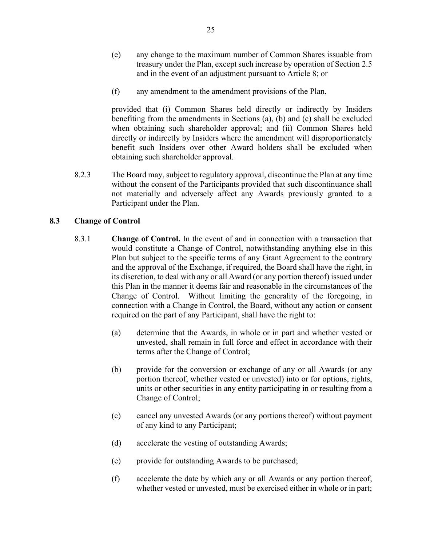- (e) any change to the maximum number of Common Shares issuable from treasury under the Plan, except such increase by operation of Section 2.5 and in the event of an adjustment pursuant to Article 8; or
- (f) any amendment to the amendment provisions of the Plan,

provided that (i) Common Shares held directly or indirectly by Insiders benefiting from the amendments in Sections (a), (b) and (c) shall be excluded when obtaining such shareholder approval; and (ii) Common Shares held directly or indirectly by Insiders where the amendment will disproportionately benefit such Insiders over other Award holders shall be excluded when obtaining such shareholder approval.

8.2.3 The Board may, subject to regulatory approval, discontinue the Plan at any time without the consent of the Participants provided that such discontinuance shall not materially and adversely affect any Awards previously granted to a Participant under the Plan.

# **8.3 Change of Control**

- 8.3.1 **Change of Control.** In the event of and in connection with a transaction that would constitute a Change of Control, notwithstanding anything else in this Plan but subject to the specific terms of any Grant Agreement to the contrary and the approval of the Exchange, if required, the Board shall have the right, in its discretion, to deal with any or all Award (or any portion thereof) issued under this Plan in the manner it deems fair and reasonable in the circumstances of the Change of Control. Without limiting the generality of the foregoing, in connection with a Change in Control, the Board, without any action or consent required on the part of any Participant, shall have the right to:
	- (a) determine that the Awards, in whole or in part and whether vested or unvested, shall remain in full force and effect in accordance with their terms after the Change of Control;
	- (b) provide for the conversion or exchange of any or all Awards (or any portion thereof, whether vested or unvested) into or for options, rights, units or other securities in any entity participating in or resulting from a Change of Control;
	- (c) cancel any unvested Awards (or any portions thereof) without payment of any kind to any Participant;
	- (d) accelerate the vesting of outstanding Awards;
	- (e) provide for outstanding Awards to be purchased;
	- (f) accelerate the date by which any or all Awards or any portion thereof, whether vested or unvested, must be exercised either in whole or in part;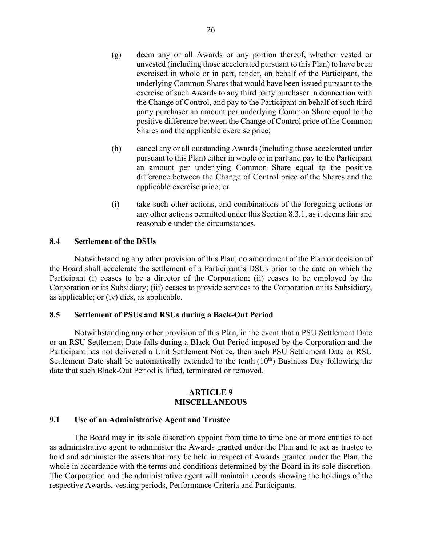- (g) deem any or all Awards or any portion thereof, whether vested or unvested (including those accelerated pursuant to this Plan) to have been exercised in whole or in part, tender, on behalf of the Participant, the underlying Common Shares that would have been issued pursuant to the exercise of such Awards to any third party purchaser in connection with the Change of Control, and pay to the Participant on behalf of such third party purchaser an amount per underlying Common Share equal to the positive difference between the Change of Control price of the Common Shares and the applicable exercise price;
- (h) cancel any or all outstanding Awards (including those accelerated under pursuant to this Plan) either in whole or in part and pay to the Participant an amount per underlying Common Share equal to the positive difference between the Change of Control price of the Shares and the applicable exercise price; or
- (i) take such other actions, and combinations of the foregoing actions or any other actions permitted under this Section 8.3.1, as it deems fair and reasonable under the circumstances.

### **8.4 Settlement of the DSUs**

Notwithstanding any other provision of this Plan, no amendment of the Plan or decision of the Board shall accelerate the settlement of a Participant's DSUs prior to the date on which the Participant (i) ceases to be a director of the Corporation; (ii) ceases to be employed by the Corporation or its Subsidiary; (iii) ceases to provide services to the Corporation or its Subsidiary, as applicable; or (iv) dies, as applicable.

### **8.5 Settlement of PSUs and RSUs during a Back-Out Period**

Notwithstanding any other provision of this Plan, in the event that a PSU Settlement Date or an RSU Settlement Date falls during a Black-Out Period imposed by the Corporation and the Participant has not delivered a Unit Settlement Notice, then such PSU Settlement Date or RSU Settlement Date shall be automatically extended to the tenth  $(10<sup>th</sup>)$  Business Day following the date that such Black-Out Period is lifted, terminated or removed.

### **ARTICLE 9 MISCELLANEOUS**

### **9.1 Use of an Administrative Agent and Trustee**

The Board may in its sole discretion appoint from time to time one or more entities to act as administrative agent to administer the Awards granted under the Plan and to act as trustee to hold and administer the assets that may be held in respect of Awards granted under the Plan, the whole in accordance with the terms and conditions determined by the Board in its sole discretion. The Corporation and the administrative agent will maintain records showing the holdings of the respective Awards, vesting periods, Performance Criteria and Participants.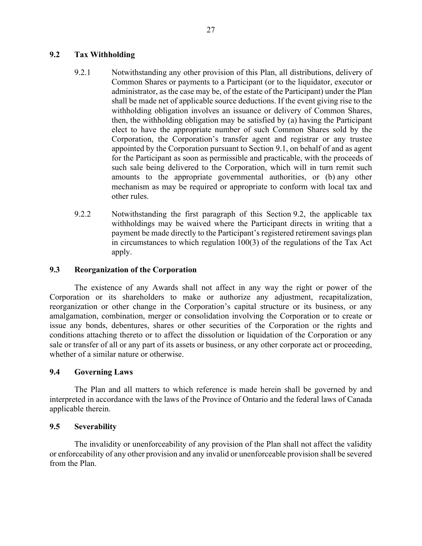# **9.2 Tax Withholding**

- 9.2.1 Notwithstanding any other provision of this Plan, all distributions, delivery of Common Shares or payments to a Participant (or to the liquidator, executor or administrator, as the case may be, of the estate of the Participant) under the Plan shall be made net of applicable source deductions. If the event giving rise to the withholding obligation involves an issuance or delivery of Common Shares, then, the withholding obligation may be satisfied by (a) having the Participant elect to have the appropriate number of such Common Shares sold by the Corporation, the Corporation's transfer agent and registrar or any trustee appointed by the Corporation pursuant to Section 9.1, on behalf of and as agent for the Participant as soon as permissible and practicable, with the proceeds of such sale being delivered to the Corporation, which will in turn remit such amounts to the appropriate governmental authorities, or (b) any other mechanism as may be required or appropriate to conform with local tax and other rules.
- 9.2.2 Notwithstanding the first paragraph of this Section 9.2, the applicable tax withholdings may be waived where the Participant directs in writing that a payment be made directly to the Participant's registered retirement savings plan in circumstances to which regulation 100(3) of the regulations of the Tax Act apply.

# **9.3 Reorganization of the Corporation**

The existence of any Awards shall not affect in any way the right or power of the Corporation or its shareholders to make or authorize any adjustment, recapitalization, reorganization or other change in the Corporation's capital structure or its business, or any amalgamation, combination, merger or consolidation involving the Corporation or to create or issue any bonds, debentures, shares or other securities of the Corporation or the rights and conditions attaching thereto or to affect the dissolution or liquidation of the Corporation or any sale or transfer of all or any part of its assets or business, or any other corporate act or proceeding, whether of a similar nature or otherwise.

# **9.4 Governing Laws**

The Plan and all matters to which reference is made herein shall be governed by and interpreted in accordance with the laws of the Province of Ontario and the federal laws of Canada applicable therein.

# **9.5 Severability**

The invalidity or unenforceability of any provision of the Plan shall not affect the validity or enforceability of any other provision and any invalid or unenforceable provision shall be severed from the Plan.